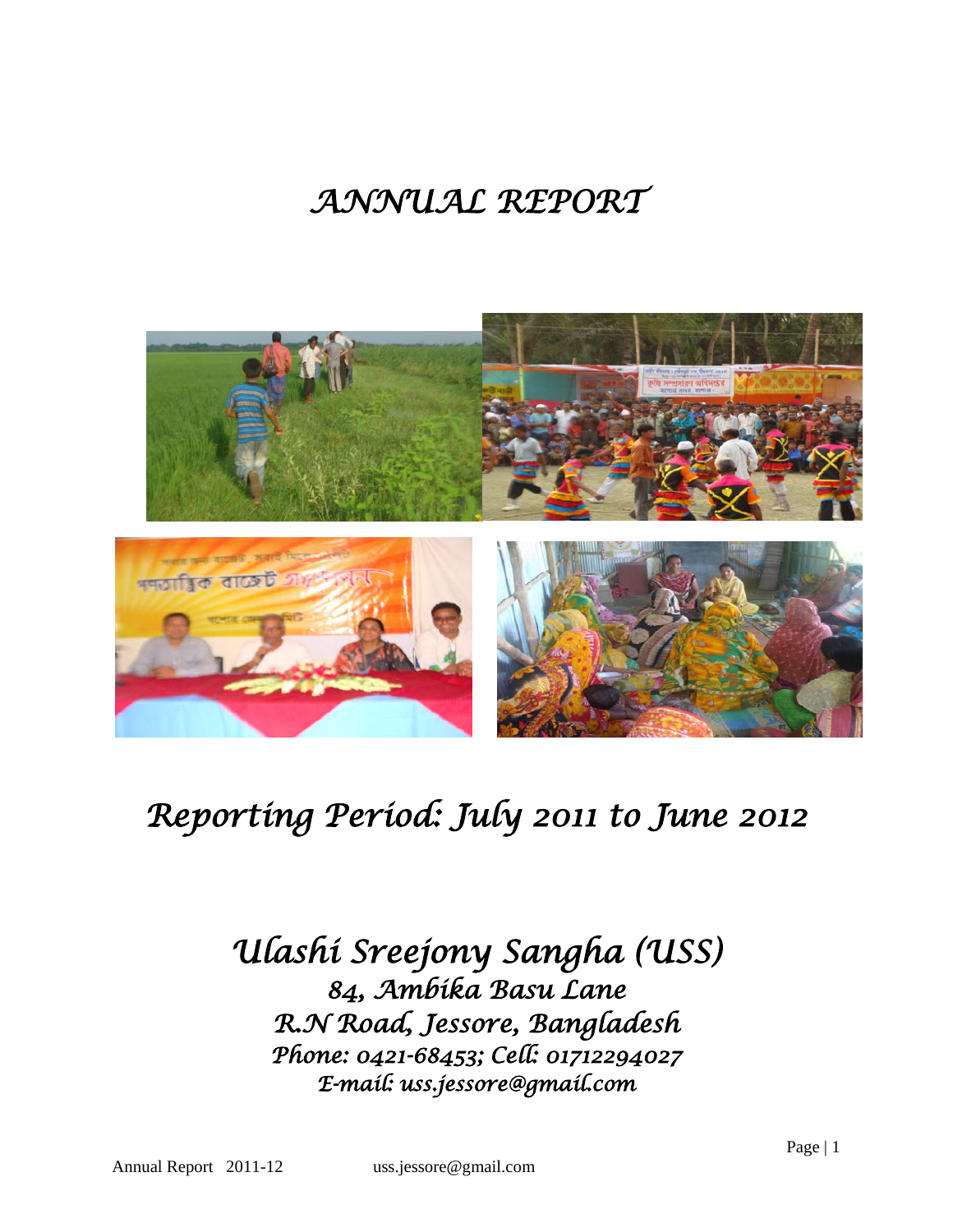# *ANNUAL REPORT*



# *Reporting Period: July 2011 to June 2012*

*Ulashi Sreejony Sangha (USS) 84, Ambika Basu Lane R.N Road, Jessore, Bangladesh Phone: 0421-68453; Cell: 01712294027 E-mail: uss.jessore@gmail.com*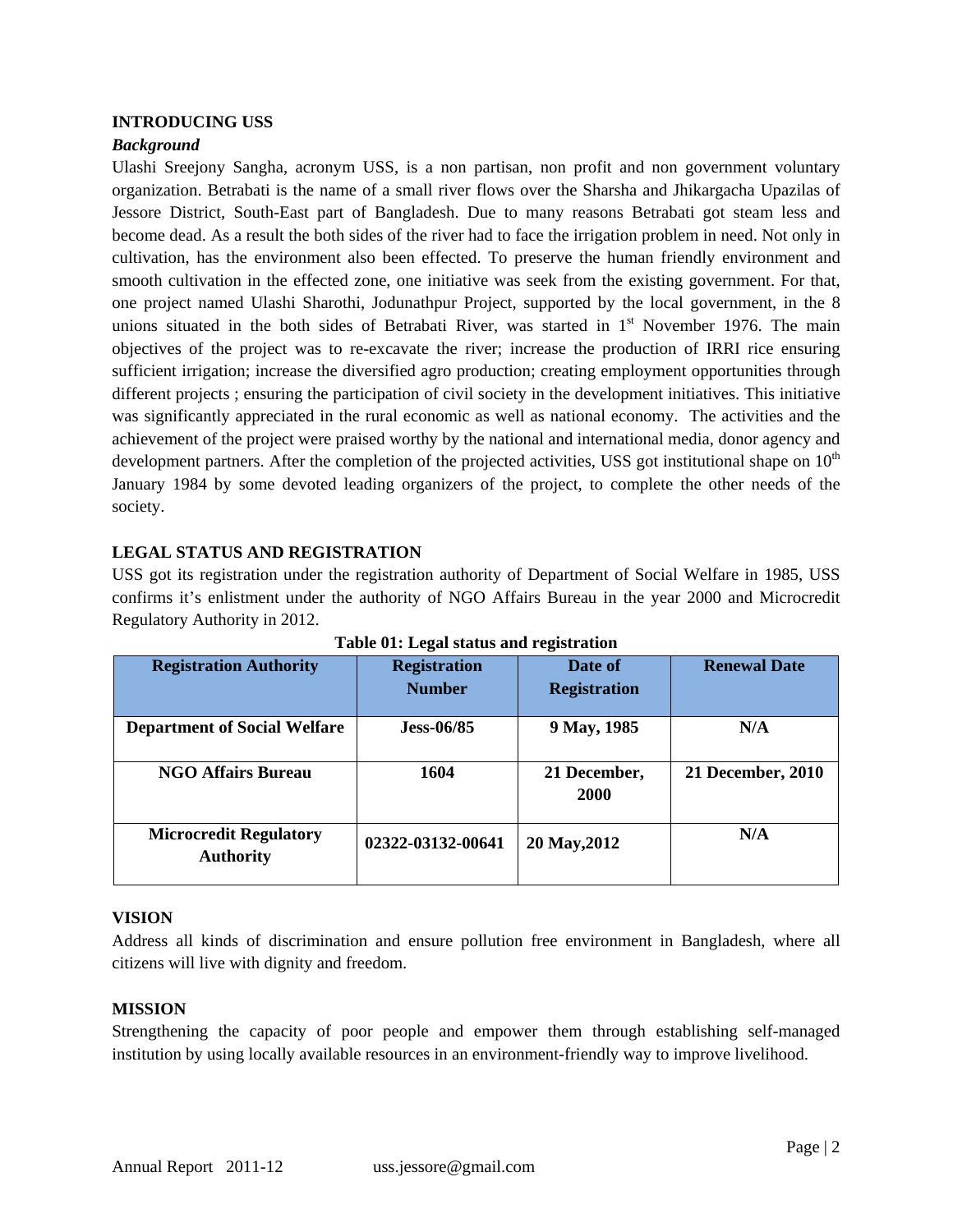## **INTRODUCING USS**

## *Background*

Ulashi Sreejony Sangha, acronym USS, is a non partisan, non profit and non government voluntary organization. Betrabati is the name of a small river flows over the Sharsha and Jhikargacha Upazilas of Jessore District, South-East part of Bangladesh. Due to many reasons Betrabati got steam less and become dead. As a result the both sides of the river had to face the irrigation problem in need. Not only in cultivation, has the environment also been effected. To preserve the human friendly environment and smooth cultivation in the effected zone, one initiative was seek from the existing government. For that, one project named Ulashi Sharothi, Jodunathpur Project, supported by the local government, in the 8 unions situated in the both sides of Betrabati River, was started in  $1<sup>st</sup>$  November 1976. The main objectives of the project was to re-excavate the river; increase the production of IRRI rice ensuring sufficient irrigation; increase the diversified agro production; creating employment opportunities through different projects ; ensuring the participation of civil society in the development initiatives. This initiative was significantly appreciated in the rural economic as well as national economy. The activities and the achievement of the project were praised worthy by the national and international media, donor agency and development partners. After the completion of the projected activities, USS got institutional shape on  $10<sup>th</sup>$ January 1984 by some devoted leading organizers of the project, to complete the other needs of the society.

## **LEGAL STATUS AND REGISTRATION**

USS got its registration under the registration authority of Department of Social Welfare in 1985, USS confirms it's enlistment under the authority of NGO Affairs Bureau in the year 2000 and Microcredit Regulatory Authority in 2012.

| <b>Registration Authority</b>                     | <b>Registration</b><br><b>Number</b> | Date of<br><b>Registration</b> | <b>Renewal Date</b> |
|---------------------------------------------------|--------------------------------------|--------------------------------|---------------------|
| <b>Department of Social Welfare</b>               | $Jess-06/85$                         | 9 May, 1985                    | N/A                 |
| <b>NGO Affairs Bureau</b>                         | 1604                                 | 21 December,<br><b>2000</b>    | 21 December, 2010   |
| <b>Microcredit Regulatory</b><br><b>Authority</b> | 02322-03132-00641                    | 20 May, 2012                   | N/A                 |

**Table 01: Legal status and registration**

#### **VISION**

Address all kinds of discrimination and ensure pollution free environment in Bangladesh, where all citizens will live with dignity and freedom.

## **MISSION**

Strengthening the capacity of poor people and empower them through establishing self-managed institution by using locally available resources in an environment-friendly way to improve livelihood.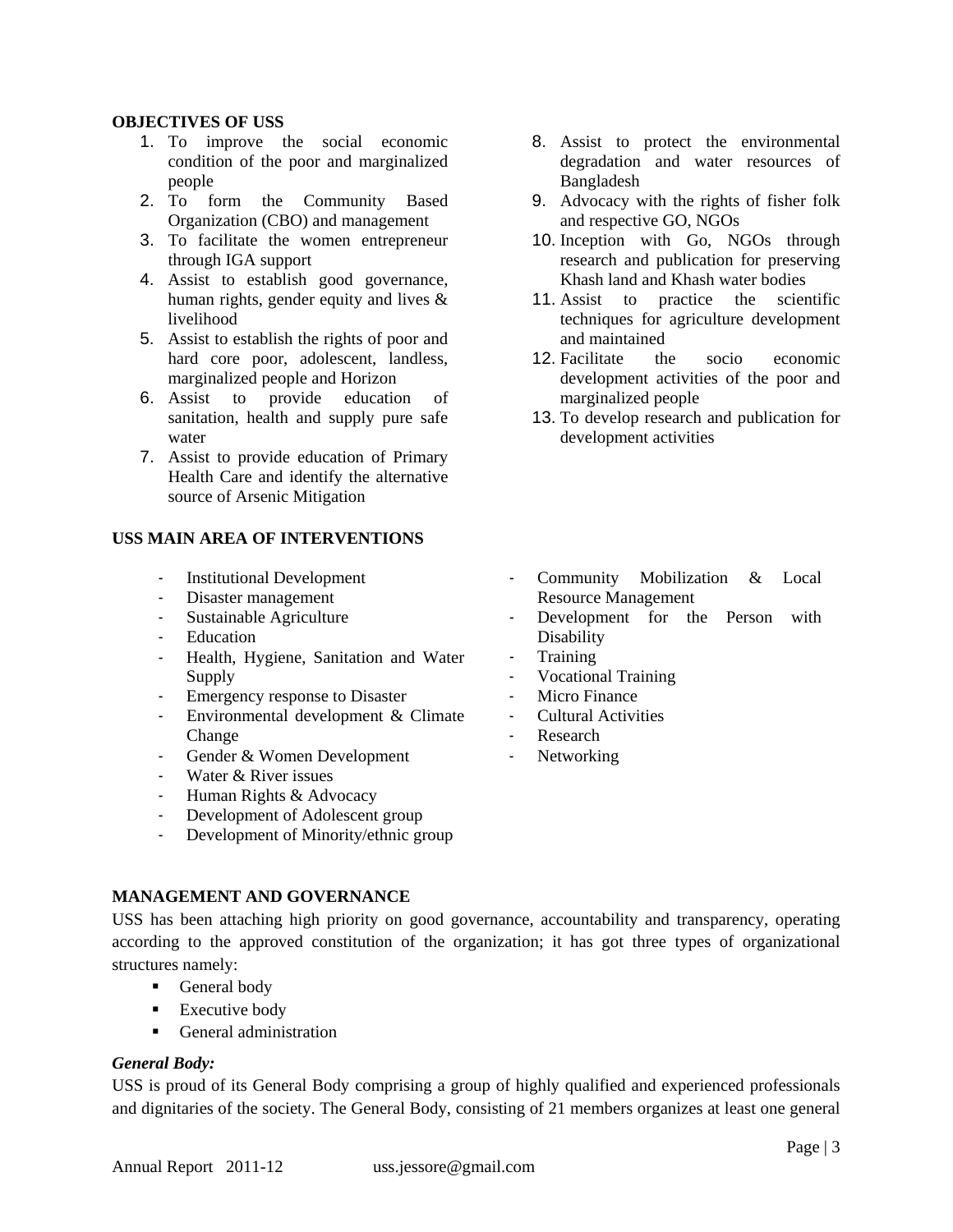## **OBJECTIVES OF USS**

- 1. To improve the social economic condition of the poor and marginalized people
- 2. To form the Community Based Organization (CBO) and management
- 3. To facilitate the women entrepreneur through IGA support
- 4. Assist to establish good governance, human rights, gender equity and lives & livelihood
- 5. Assist to establish the rights of poor and hard core poor, adolescent, landless, marginalized people and Horizon
- 6. Assist to provide education of sanitation, health and supply pure safe water
- 7. Assist to provide education of Primary Health Care and identify the alternative source of Arsenic Mitigation

## **USS MAIN AREA OF INTERVENTIONS**

- Institutional Development
- Disaster management
- Sustainable Agriculture
- Education
- Health, Hygiene, Sanitation and Water Supply
- Emergency response to Disaster
- Environmental development & Climate Change
- Gender & Women Development
- Water & River issues
- Human Rights & Advocacy
- Development of Adolescent group
- Development of Minority/ethnic group

## **MANAGEMENT AND GOVERNANCE**

USS has been attaching high priority on good governance, accountability and transparency, operating according to the approved constitution of the organization; it has got three types of organizational structures namely:

- General body
- **Executive body**
- General administration

## *General Body:*

USS is proud of its General Body comprising a group of highly qualified and experienced professionals and dignitaries of the society. The General Body, consisting of 21 members organizes at least one general

- 8. Assist to protect the environmental degradation and water resources of Bangladesh
- 9. Advocacy with the rights of fisher folk and respective GO, NGOs
- 10. Inception with Go, NGOs through research and publication for preserving Khash land and Khash water bodies
- 11. Assist to practice the scientific techniques for agriculture development and maintained
- 12. Facilitate the socio economic development activities of the poor and marginalized people
- 13. To develop research and publication for development activities
- Community Mobilization & Local Resource Management
- Development for the Person with **Disability**
- **Training**
- Vocational Training
- Micro Finance
- Cultural Activities
- **Research**
- Networking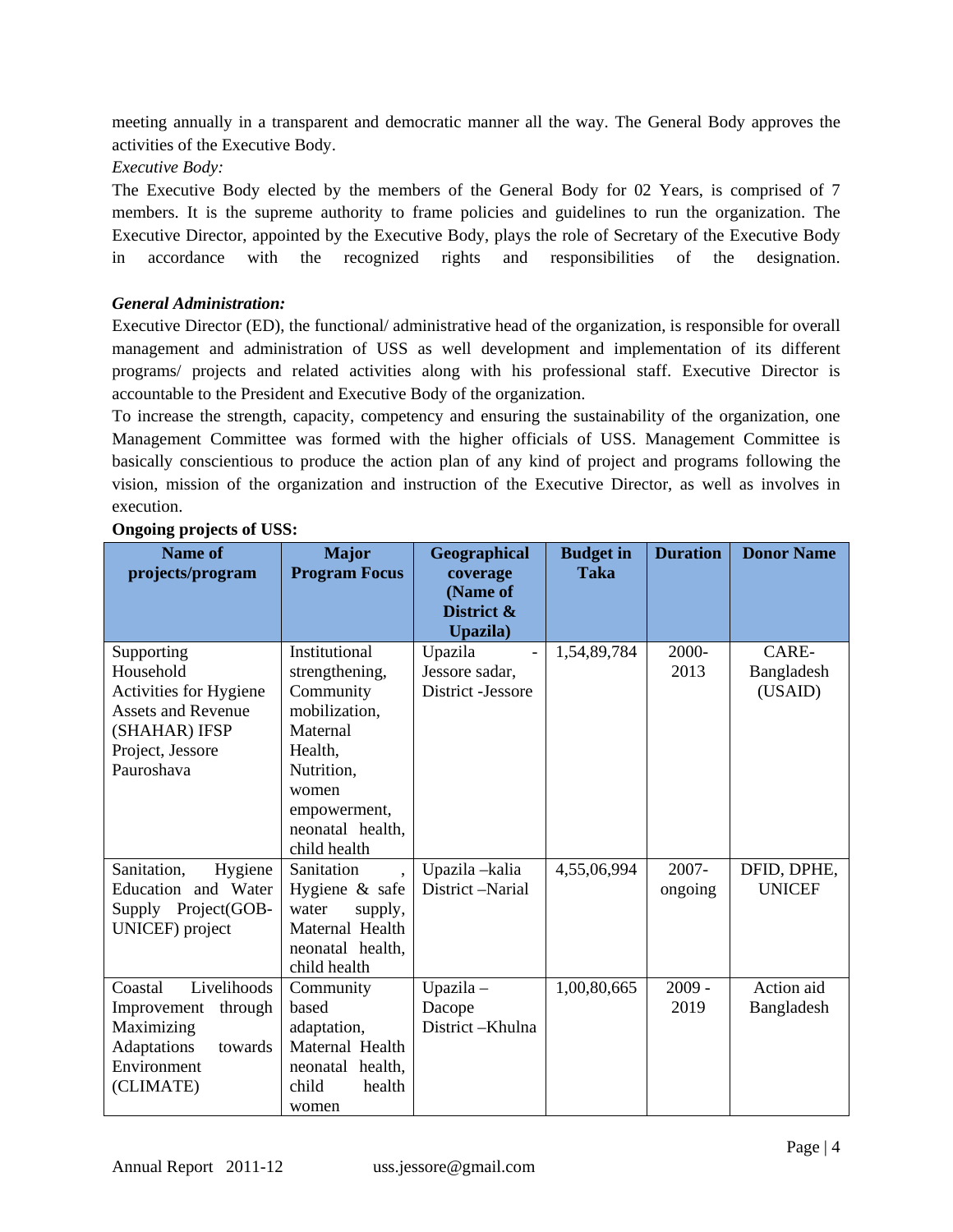meeting annually in a transparent and democratic manner all the way. The General Body approves the activities of the Executive Body.

*Executive Body:* 

The Executive Body elected by the members of the General Body for 02 Years, is comprised of 7 members. It is the supreme authority to frame policies and guidelines to run the organization. The Executive Director, appointed by the Executive Body, plays the role of Secretary of the Executive Body in accordance with the recognized rights and responsibilities of the designation.

# *General Administration:*

Executive Director (ED), the functional/ administrative head of the organization, is responsible for overall management and administration of USS as well development and implementation of its different programs/ projects and related activities along with his professional staff. Executive Director is accountable to the President and Executive Body of the organization.

To increase the strength, capacity, competency and ensuring the sustainability of the organization, one Management Committee was formed with the higher officials of USS. Management Committee is basically conscientious to produce the action plan of any kind of project and programs following the vision, mission of the organization and instruction of the Executive Director, as well as involves in execution.

| <b>Name of</b><br>projects/program                                                                                                | <b>Major</b><br><b>Program Focus</b>                                                                                                                            | Geographical<br>coverage                       | <b>Budget</b> in<br><b>Taka</b> | <b>Duration</b>     | <b>Donor Name</b>              |
|-----------------------------------------------------------------------------------------------------------------------------------|-----------------------------------------------------------------------------------------------------------------------------------------------------------------|------------------------------------------------|---------------------------------|---------------------|--------------------------------|
|                                                                                                                                   |                                                                                                                                                                 | (Name of<br>District &<br>Upazila)             |                                 |                     |                                |
| Supporting<br>Household<br>Activities for Hygiene<br><b>Assets and Revenue</b><br>(SHAHAR) IFSP<br>Project, Jessore<br>Pauroshava | Institutional<br>strengthening,<br>Community<br>mobilization,<br>Maternal<br>Health,<br>Nutrition,<br>women<br>empowerment,<br>neonatal health,<br>child health | Upazila<br>Jessore sadar,<br>District -Jessore | 1,54,89,784                     | 2000-<br>2013       | CARE-<br>Bangladesh<br>(USAID) |
| Sanitation,<br>Hygiene<br>Education and Water<br>Supply Project(GOB-<br>UNICEF) project                                           | Sanitation<br>Hygiene & safe<br>water<br>supply,<br>Maternal Health<br>neonatal health,<br>child health                                                         | Upazila -kalia<br>District -Narial             | 4,55,06,994                     | $2007 -$<br>ongoing | DFID, DPHE,<br><b>UNICEF</b>   |
| Livelihoods<br>Coastal<br>Improvement<br>through<br>Maximizing<br>Adaptations<br>towards<br>Environment<br>(CLIMATE)              | Community<br>based<br>adaptation,<br>Maternal Health<br>neonatal health,<br>child<br>health<br>women                                                            | $Upazila -$<br>Dacope<br>District-Khulna       | 1,00,80,665                     | $2009 -$<br>2019    | Action aid<br>Bangladesh       |

## **Ongoing projects of USS:**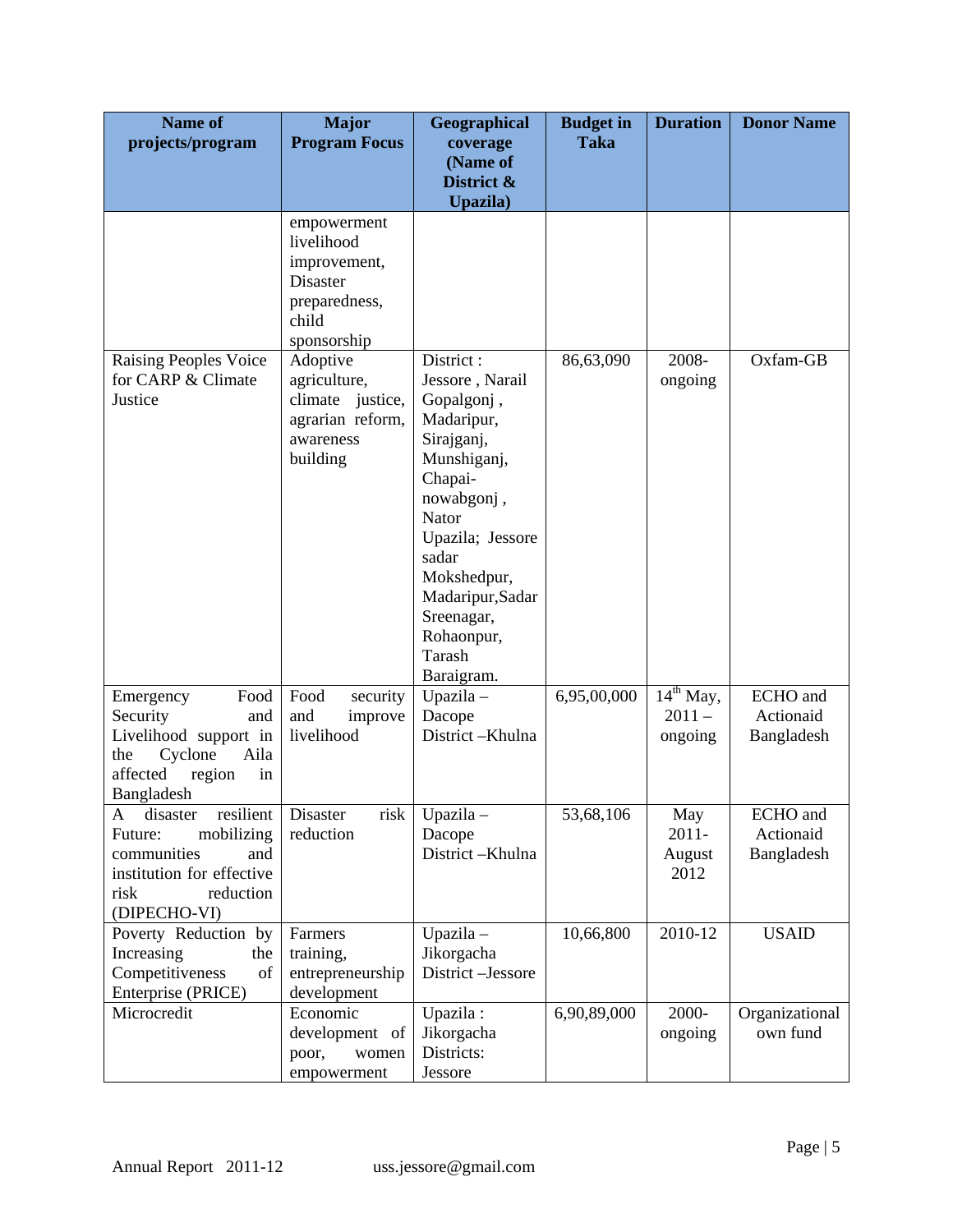| <b>Name of</b><br>projects/program                                                                                                          | <b>Major</b><br><b>Program Focus</b>                                                                  | Geographical<br>coverage                                                                                                                                                                                                                    | <b>Budget</b> in<br><b>Taka</b> | <b>Duration</b>                       | <b>Donor Name</b>                   |
|---------------------------------------------------------------------------------------------------------------------------------------------|-------------------------------------------------------------------------------------------------------|---------------------------------------------------------------------------------------------------------------------------------------------------------------------------------------------------------------------------------------------|---------------------------------|---------------------------------------|-------------------------------------|
|                                                                                                                                             |                                                                                                       | (Name of<br>District &<br>Upazila)                                                                                                                                                                                                          |                                 |                                       |                                     |
|                                                                                                                                             | empowerment<br>livelihood<br>improvement,<br><b>Disaster</b><br>preparedness,<br>child<br>sponsorship |                                                                                                                                                                                                                                             |                                 |                                       |                                     |
| <b>Raising Peoples Voice</b><br>for CARP & Climate<br>Justice                                                                               | Adoptive<br>agriculture,<br>climate justice,<br>agrarian reform,<br>awareness<br>building             | District:<br>Jessore, Narail<br>Gopalgonj,<br>Madaripur,<br>Sirajganj,<br>Munshiganj,<br>Chapai-<br>nowabgonj,<br>Nator<br>Upazila; Jessore<br>sadar<br>Mokshedpur,<br>Madaripur, Sadar<br>Sreenagar,<br>Rohaonpur,<br>Tarash<br>Baraigram. | 86,63,090                       | 2008-<br>ongoing                      | Oxfam-GB                            |
| Emergency<br>Food<br>Security<br>and<br>Livelihood support in<br>Aila<br>Cyclone<br>the<br>affected<br>region<br>in<br>Bangladesh           | Food<br>security<br>and<br>improve<br>livelihood                                                      | Upazila -<br>Dacope<br>District-Khulna                                                                                                                                                                                                      | 6,95,00,000                     | $14^{th}$ May,<br>$2011 -$<br>ongoing | ECHO and<br>Actionaid<br>Bangladesh |
| resilient<br>disaster<br>A<br>mobilizing<br>Future:<br>communities<br>and<br>institution for effective<br>reduction<br>risk<br>(DIPECHO-VI) | Disaster<br>risk<br>reduction                                                                         | Upazila-<br>Dacope<br>District-Khulna                                                                                                                                                                                                       | 53,68,106                       | May<br>$2011 -$<br>August<br>2012     | ECHO and<br>Actionaid<br>Bangladesh |
| Poverty Reduction by<br>Increasing<br>the<br>Competitiveness<br>of<br>Enterprise (PRICE)                                                    | Farmers<br>training,<br>entrepreneurship<br>development                                               | $Upazila -$<br>Jikorgacha<br>District-Jessore                                                                                                                                                                                               | 10,66,800                       | 2010-12                               | <b>USAID</b>                        |
| Microcredit                                                                                                                                 | Economic<br>development of<br>poor,<br>women<br>empowerment                                           | Upazila:<br>Jikorgacha<br>Districts:<br>Jessore                                                                                                                                                                                             | 6,90,89,000                     | 2000-<br>ongoing                      | Organizational<br>own fund          |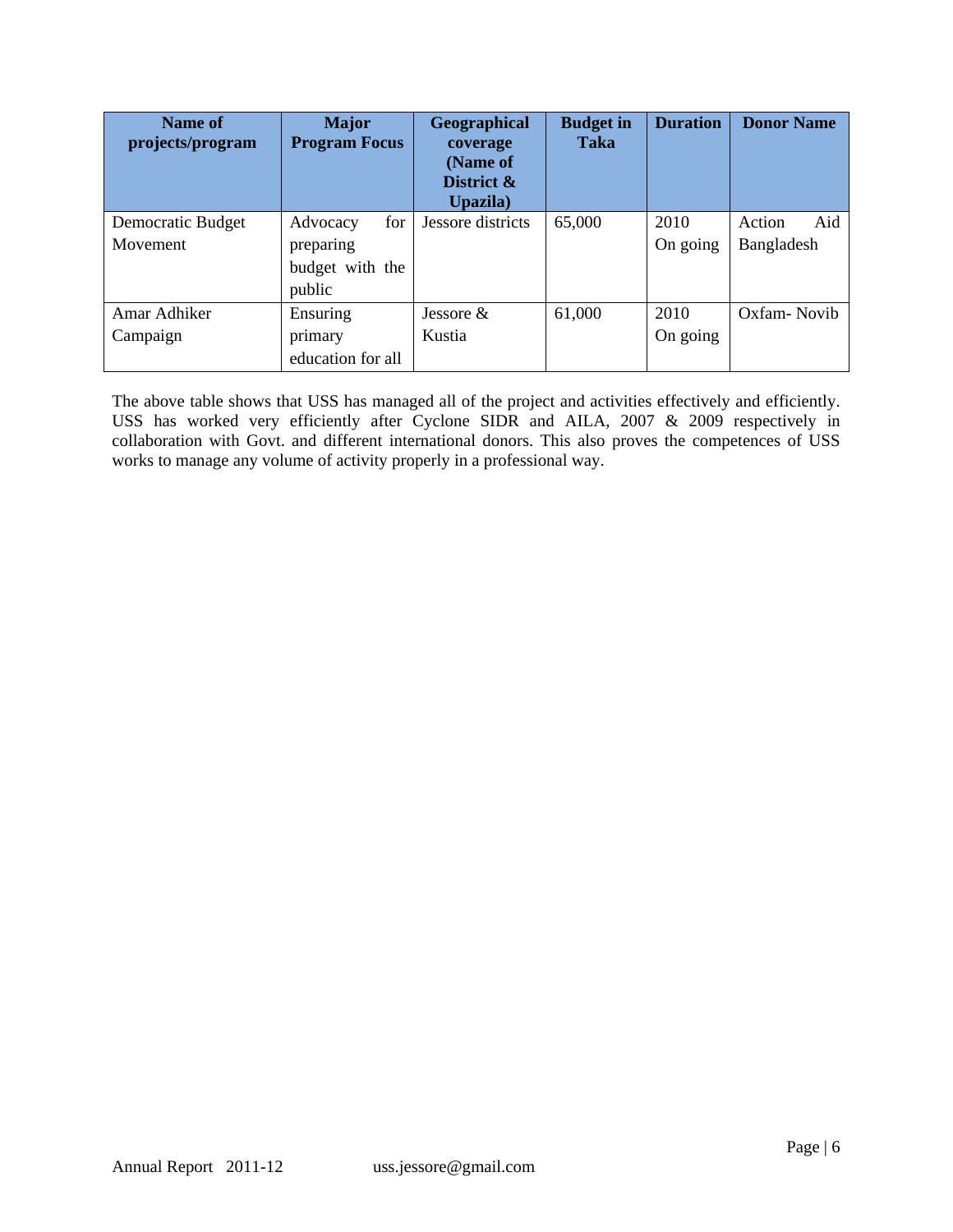| Name of<br>projects/program | <b>Major</b><br><b>Program Focus</b> | Geographical<br>coverage<br>(Name of<br>District &<br>Upazila) | <b>Budget in</b><br><b>Taka</b> | <b>Duration</b> | <b>Donor Name</b> |
|-----------------------------|--------------------------------------|----------------------------------------------------------------|---------------------------------|-----------------|-------------------|
| Democratic Budget           | for<br>Advocacy                      | Jessore districts                                              | 65,000                          | 2010            | Aid<br>Action     |
| Movement                    | preparing                            |                                                                |                                 | On going        | Bangladesh        |
|                             | budget with the                      |                                                                |                                 |                 |                   |
|                             | public                               |                                                                |                                 |                 |                   |
| Amar Adhiker                | Ensuring                             | Jessore $&$                                                    | 61,000                          | 2010            | Oxfam-Novib       |
| Campaign                    | primary                              | Kustia                                                         |                                 | On going        |                   |
|                             | education for all                    |                                                                |                                 |                 |                   |

The above table shows that USS has managed all of the project and activities effectively and efficiently. USS has worked very efficiently after Cyclone SIDR and AILA, 2007 & 2009 respectively in collaboration with Govt. and different international donors. This also proves the competences of USS works to manage any volume of activity properly in a professional way.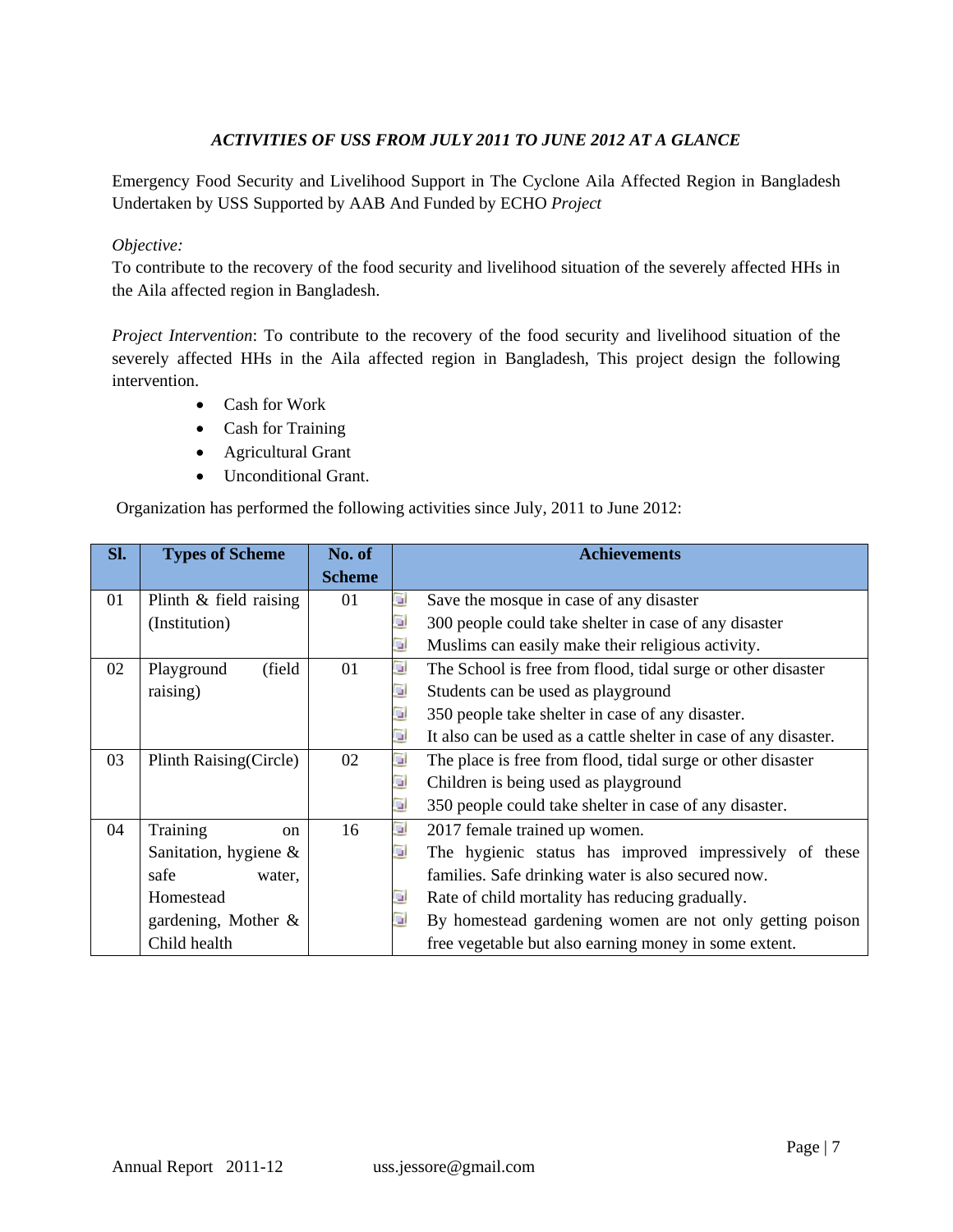# *ACTIVITIES OF USS FROM JULY 2011 TO JUNE 2012 AT A GLANCE*

Emergency Food Security and Livelihood Support in The Cyclone Aila Affected Region in Bangladesh Undertaken by USS Supported by AAB And Funded by ECHO *Project* 

## *Objective:*

To contribute to the recovery of the food security and livelihood situation of the severely affected HHs in the Aila affected region in Bangladesh.

*Project Intervention*: To contribute to the recovery of the food security and livelihood situation of the severely affected HHs in the Aila affected region in Bangladesh, This project design the following intervention.

- Cash for Work
- Cash for Training
- Agricultural Grant
- Unconditional Grant.

Organization has performed the following activities since July, 2011 to June 2012:

| SI. | <b>Types of Scheme</b>    | No. of        |    | <b>Achievements</b>                                              |
|-----|---------------------------|---------------|----|------------------------------------------------------------------|
|     |                           | <b>Scheme</b> |    |                                                                  |
| 01  | Plinth & field raising    | 01            | u) | Save the mosque in case of any disaster                          |
|     | (Institution)             |               | G) | 300 people could take shelter in case of any disaster            |
|     |                           |               | ш  | Muslims can easily make their religious activity.                |
| 02  | (field)<br>Playground     | 01            | u) | The School is free from flood, tidal surge or other disaster     |
|     | raising)                  |               | u  | Students can be used as playground                               |
|     |                           |               | G) | 350 people take shelter in case of any disaster.                 |
|     |                           |               | u  | It also can be used as a cattle shelter in case of any disaster. |
| 03  | Plinth Raising(Circle)    | 02            | G) | The place is free from flood, tidal surge or other disaster      |
|     |                           |               | u, | Children is being used as playground                             |
|     |                           |               | ц  | 350 people could take shelter in case of any disaster.           |
| 04  | Training<br><sub>on</sub> | 16            | GI | 2017 female trained up women.                                    |
|     | Sanitation, hygiene $\&$  |               | G  | The hygienic status has improved impressively of these           |
|     | safe<br>water,            |               |    | families. Safe drinking water is also secured now.               |
|     | Homestead                 |               | u  | Rate of child mortality has reducing gradually.                  |
|     | gardening, Mother &       |               | G) | By homestead gardening women are not only getting poison         |
|     | Child health              |               |    | free vegetable but also earning money in some extent.            |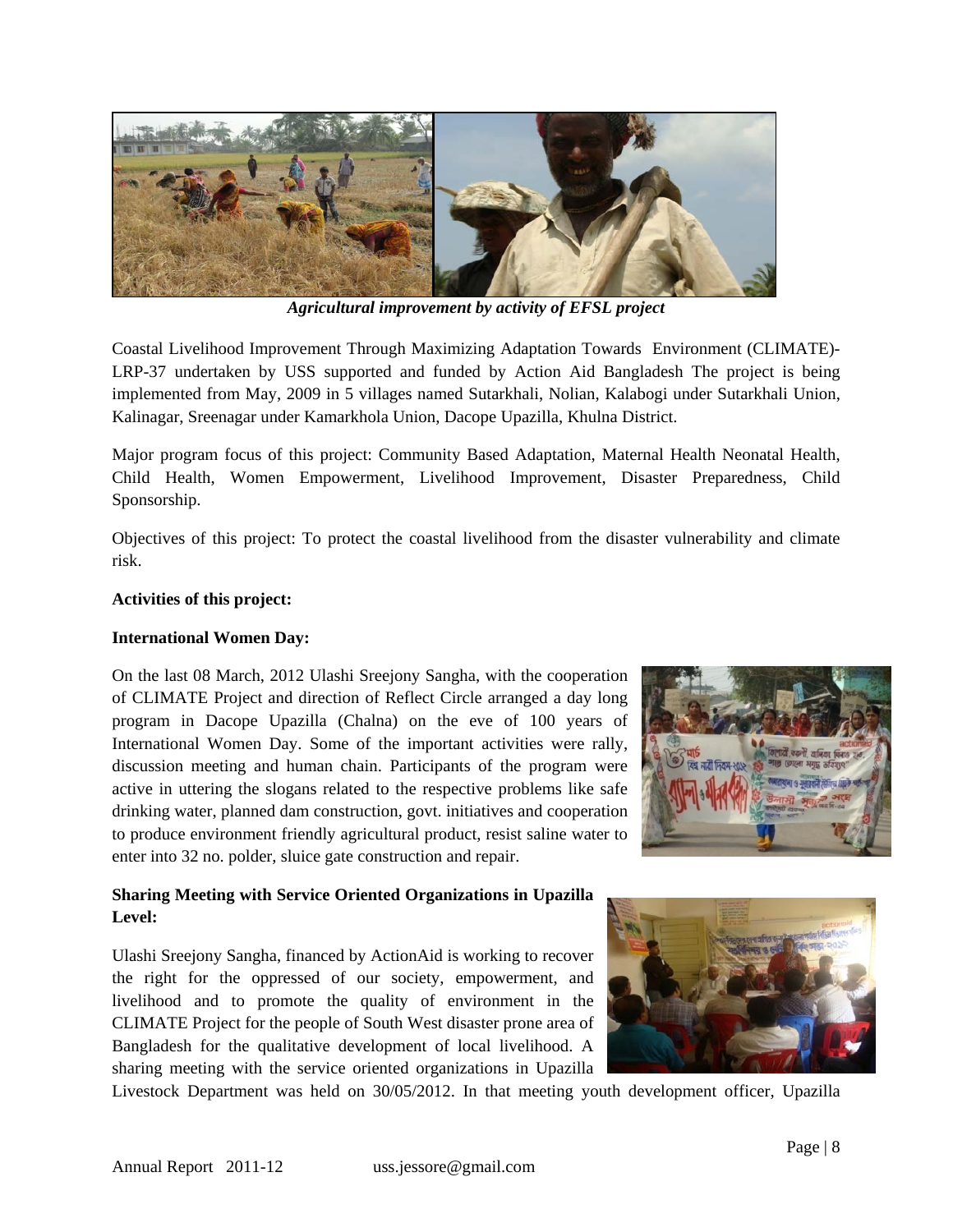

*Agricultural improvement by activity of EFSL project* 

Coastal Livelihood Improvement Through Maximizing Adaptation Towards Environment (CLIMATE)- LRP-37 undertaken by USS supported and funded by Action Aid Bangladesh The project is being implemented from May, 2009 in 5 villages named Sutarkhali, Nolian, Kalabogi under Sutarkhali Union, Kalinagar, Sreenagar under Kamarkhola Union, Dacope Upazilla, Khulna District.

Major program focus of this project: Community Based Adaptation, Maternal Health Neonatal Health, Child Health, Women Empowerment, Livelihood Improvement, Disaster Preparedness, Child Sponsorship.

Objectives of this project: To protect the coastal livelihood from the disaster vulnerability and climate risk.

# **Activities of this project:**

## **International Women Day:**

On the last 08 March, 2012 Ulashi Sreejony Sangha, with the cooperation of CLIMATE Project and direction of Reflect Circle arranged a day long program in Dacope Upazilla (Chalna) on the eve of 100 years of International Women Day. Some of the important activities were rally, discussion meeting and human chain. Participants of the program were active in uttering the slogans related to the respective problems like safe drinking water, planned dam construction, govt. initiatives and cooperation to produce environment friendly agricultural product, resist saline water to enter into 32 no. polder, sluice gate construction and repair.



# **Sharing Meeting with Service Oriented Organizations in Upazilla Level:**

Ulashi Sreejony Sangha, financed by ActionAid is working to recover the right for the oppressed of our society, empowerment, and livelihood and to promote the quality of environment in the CLIMATE Project for the people of South West disaster prone area of Bangladesh for the qualitative development of local livelihood. A sharing meeting with the service oriented organizations in Upazilla

Livestock Department was held on 30/05/2012. In that meeting youth development officer, Upazilla

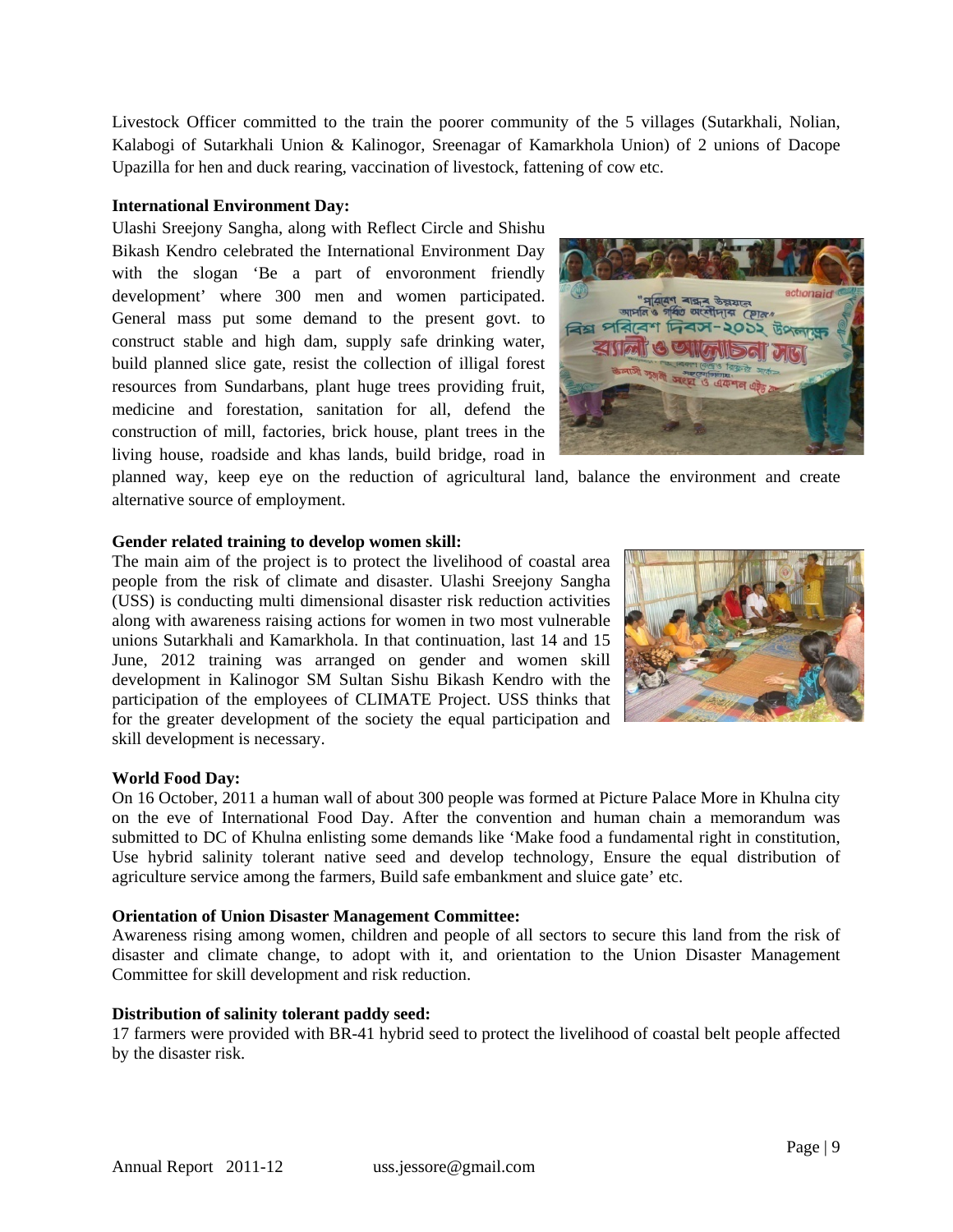Livestock Officer committed to the train the poorer community of the 5 villages (Sutarkhali, Nolian, Kalabogi of Sutarkhali Union & Kalinogor, Sreenagar of Kamarkhola Union) of 2 unions of Dacope Upazilla for hen and duck rearing, vaccination of livestock, fattening of cow etc.

#### **International Environment Day:**

Ulashi Sreejony Sangha, along with Reflect Circle and Shishu Bikash Kendro celebrated the International Environment Day with the slogan 'Be a part of envoronment friendly development' where 300 men and women participated. General mass put some demand to the present govt. to construct stable and high dam, supply safe drinking water, build planned slice gate, resist the collection of illigal forest resources from Sundarbans, plant huge trees providing fruit, medicine and forestation, sanitation for all, defend the construction of mill, factories, brick house, plant trees in the living house, roadside and khas lands, build bridge, road in



planned way, keep eye on the reduction of agricultural land, balance the environment and create alternative source of employment.

#### **Gender related training to develop women skill:**

The main aim of the project is to protect the livelihood of coastal area people from the risk of climate and disaster. Ulashi Sreejony Sangha (USS) is conducting multi dimensional disaster risk reduction activities along with awareness raising actions for women in two most vulnerable unions Sutarkhali and Kamarkhola. In that continuation, last 14 and 15 June, 2012 training was arranged on gender and women skill development in Kalinogor SM Sultan Sishu Bikash Kendro with the participation of the employees of CLIMATE Project. USS thinks that for the greater development of the society the equal participation and skill development is necessary.



#### **World Food Day:**

On 16 October, 2011 a human wall of about 300 people was formed at Picture Palace More in Khulna city on the eve of International Food Day. After the convention and human chain a memorandum was submitted to DC of Khulna enlisting some demands like 'Make food a fundamental right in constitution, Use hybrid salinity tolerant native seed and develop technology, Ensure the equal distribution of agriculture service among the farmers, Build safe embankment and sluice gate' etc.

#### **Orientation of Union Disaster Management Committee:**

Awareness rising among women, children and people of all sectors to secure this land from the risk of disaster and climate change, to adopt with it, and orientation to the Union Disaster Management Committee for skill development and risk reduction.

#### **Distribution of salinity tolerant paddy seed:**

17 farmers were provided with BR-41 hybrid seed to protect the livelihood of coastal belt people affected by the disaster risk.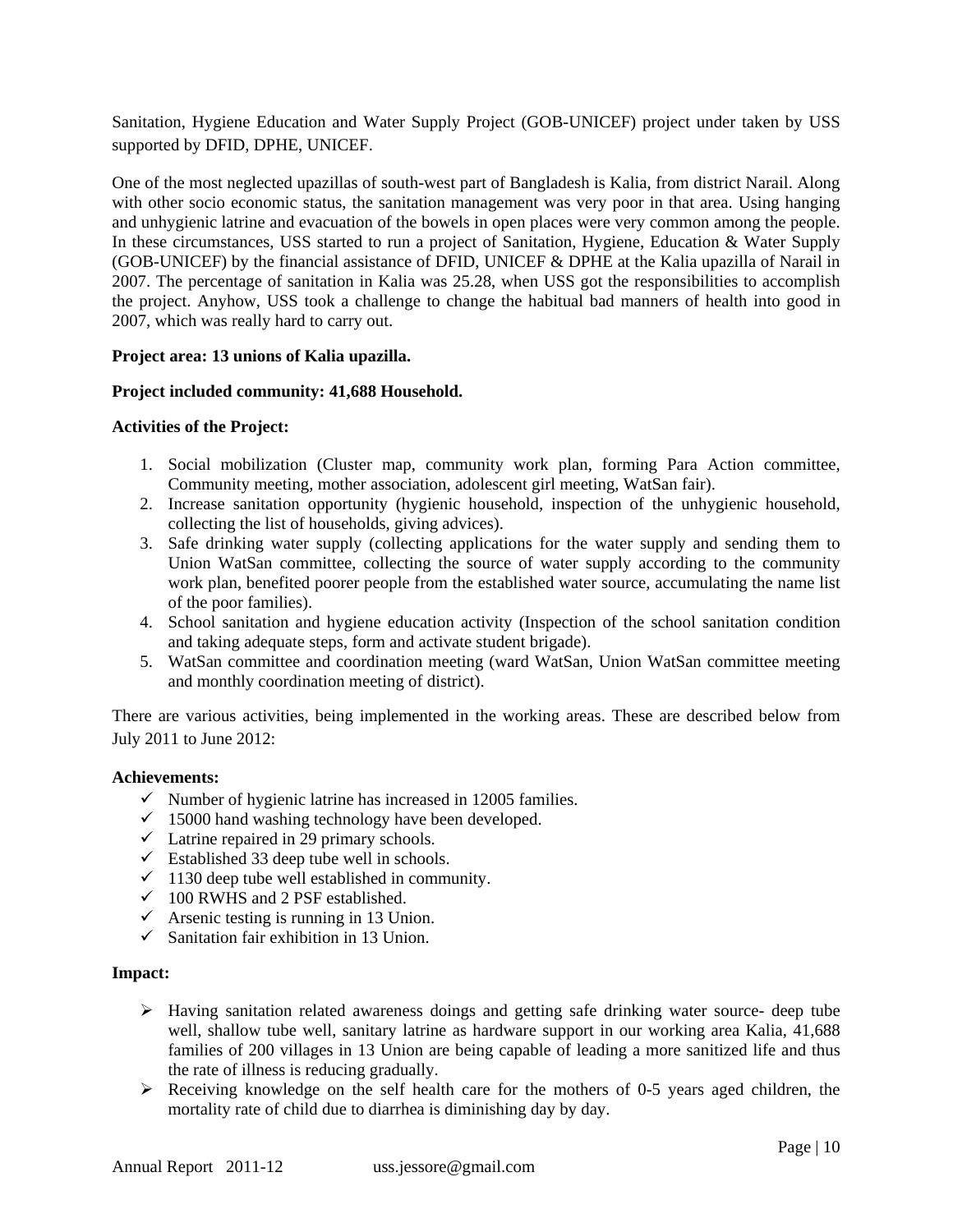Sanitation, Hygiene Education and Water Supply Project (GOB-UNICEF) project under taken by USS supported by DFID, DPHE, UNICEF.

One of the most neglected upazillas of south-west part of Bangladesh is Kalia, from district Narail. Along with other socio economic status, the sanitation management was very poor in that area. Using hanging and unhygienic latrine and evacuation of the bowels in open places were very common among the people. In these circumstances, USS started to run a project of Sanitation, Hygiene, Education & Water Supply (GOB-UNICEF) by the financial assistance of DFID, UNICEF & DPHE at the Kalia upazilla of Narail in 2007. The percentage of sanitation in Kalia was 25.28, when USS got the responsibilities to accomplish the project. Anyhow, USS took a challenge to change the habitual bad manners of health into good in 2007, which was really hard to carry out.

## **Project area: 13 unions of Kalia upazilla.**

#### **Project included community: 41,688 Household.**

#### **Activities of the Project:**

- 1. Social mobilization (Cluster map, community work plan, forming Para Action committee, Community meeting, mother association, adolescent girl meeting, WatSan fair).
- 2. Increase sanitation opportunity (hygienic household, inspection of the unhygienic household, collecting the list of households, giving advices).
- 3. Safe drinking water supply (collecting applications for the water supply and sending them to Union WatSan committee, collecting the source of water supply according to the community work plan, benefited poorer people from the established water source, accumulating the name list of the poor families).
- 4. School sanitation and hygiene education activity (Inspection of the school sanitation condition and taking adequate steps, form and activate student brigade).
- 5. WatSan committee and coordination meeting (ward WatSan, Union WatSan committee meeting and monthly coordination meeting of district).

There are various activities, being implemented in the working areas. These are described below from July 2011 to June 2012:

#### **Achievements:**

- $\checkmark$  Number of hygienic latrine has increased in 12005 families.
- $\checkmark$  15000 hand washing technology have been developed.
- $\checkmark$  Latrine repaired in 29 primary schools.
- $\checkmark$  Established 33 deep tube well in schools.
- $\checkmark$  1130 deep tube well established in community.
- $\checkmark$  100 RWHS and 2 PSF established.
- $\checkmark$  Arsenic testing is running in 13 Union.
- $\checkmark$  Sanitation fair exhibition in 13 Union.

#### **Impact:**

- $\triangleright$  Having sanitation related awareness doings and getting safe drinking water source- deep tube well, shallow tube well, sanitary latrine as hardware support in our working area Kalia,  $\overline{41,688}$ families of 200 villages in 13 Union are being capable of leading a more sanitized life and thus the rate of illness is reducing gradually.
- Receiving knowledge on the self health care for the mothers of 0-5 years aged children, the mortality rate of child due to diarrhea is diminishing day by day.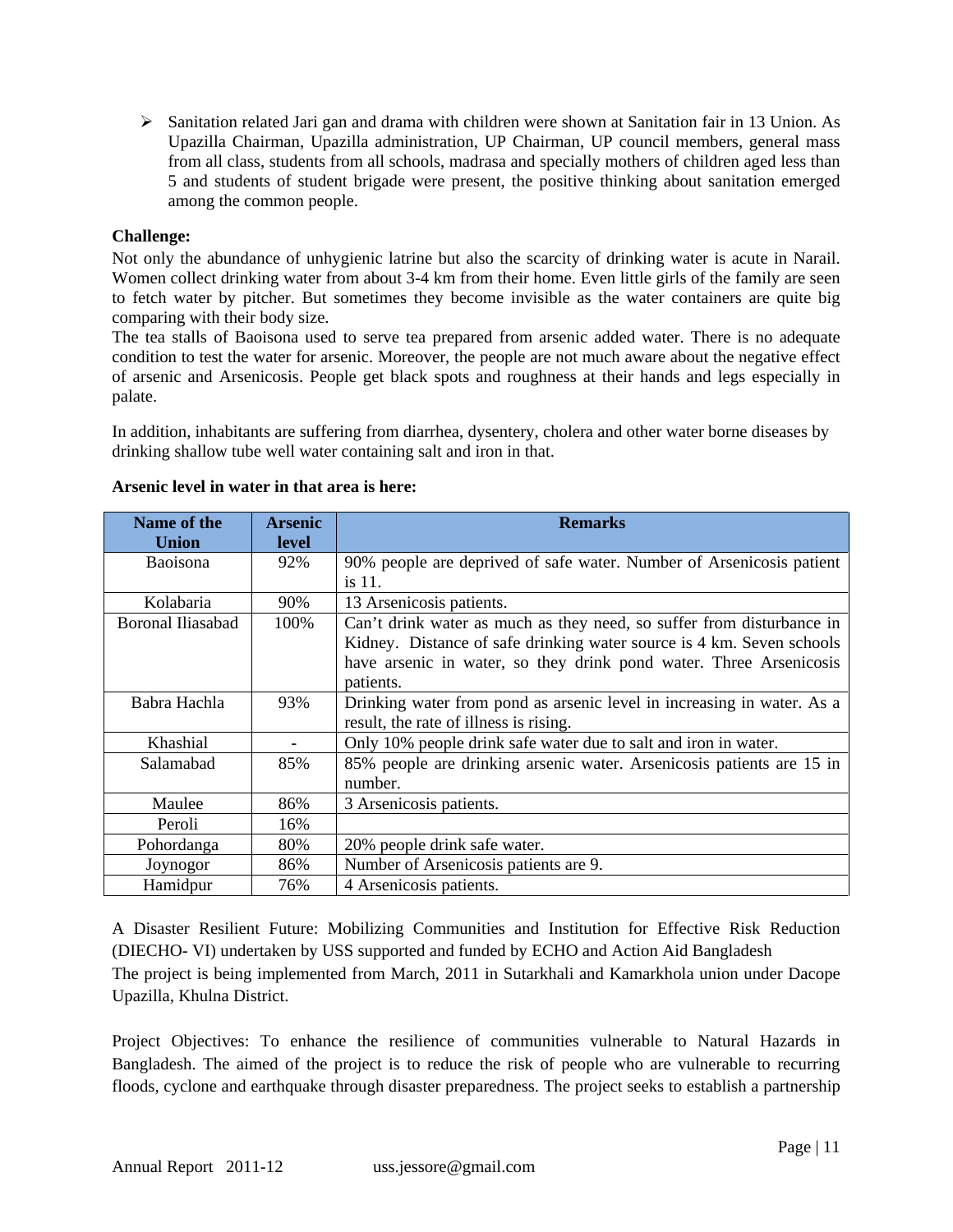$\triangleright$  Sanitation related Jari gan and drama with children were shown at Sanitation fair in 13 Union. As Upazilla Chairman, Upazilla administration, UP Chairman, UP council members, general mass from all class, students from all schools, madrasa and specially mothers of children aged less than 5 and students of student brigade were present, the positive thinking about sanitation emerged among the common people.

## **Challenge:**

Not only the abundance of unhygienic latrine but also the scarcity of drinking water is acute in Narail. Women collect drinking water from about 3-4 km from their home. Even little girls of the family are seen to fetch water by pitcher. But sometimes they become invisible as the water containers are quite big comparing with their body size.

The tea stalls of Baoisona used to serve tea prepared from arsenic added water. There is no adequate condition to test the water for arsenic. Moreover, the people are not much aware about the negative effect of arsenic and Arsenicosis. People get black spots and roughness at their hands and legs especially in palate.

In addition, inhabitants are suffering from diarrhea, dysentery, cholera and other water borne diseases by drinking shallow tube well water containing salt and iron in that.

| Name of the<br><b>Union</b> | <b>Arsenic</b><br>level | <b>Remarks</b>                                                         |
|-----------------------------|-------------------------|------------------------------------------------------------------------|
| <b>Baoisona</b>             | 92%                     | 90% people are deprived of safe water. Number of Arsenicosis patient   |
|                             |                         | is 11.                                                                 |
| Kolabaria                   | 90%                     | 13 Arsenicosis patients.                                               |
| Boronal Iliasabad           | 100%                    | Can't drink water as much as they need, so suffer from disturbance in  |
|                             |                         | Kidney. Distance of safe drinking water source is 4 km. Seven schools  |
|                             |                         | have arsenic in water, so they drink pond water. Three Arsenicosis     |
|                             |                         | patients.                                                              |
| Babra Hachla                | 93%                     | Drinking water from pond as arsenic level in increasing in water. As a |
|                             |                         | result, the rate of illness is rising.                                 |
| Khashial                    |                         | Only 10% people drink safe water due to salt and iron in water.        |
| Salamabad                   | 85%                     | 85% people are drinking arsenic water. Arsenicosis patients are 15 in  |
|                             |                         | number.                                                                |
| Maulee                      | 86%                     | 3 Arsenicosis patients.                                                |
| Peroli                      | 16%                     |                                                                        |
| Pohordanga                  | 80%                     | 20% people drink safe water.                                           |
| Joynogor                    | 86%                     | Number of Arsenicosis patients are 9.                                  |
| Hamidpur                    | 76%                     | 4 Arsenicosis patients.                                                |

## **Arsenic level in water in that area is here:**

A Disaster Resilient Future: Mobilizing Communities and Institution for Effective Risk Reduction (DIECHO- VI) undertaken by USS supported and funded by ECHO and Action Aid Bangladesh The project is being implemented from March, 2011 in Sutarkhali and Kamarkhola union under Dacope Upazilla, Khulna District.

Project Objectives: To enhance the resilience of communities vulnerable to Natural Hazards in Bangladesh. The aimed of the project is to reduce the risk of people who are vulnerable to recurring floods, cyclone and earthquake through disaster preparedness. The project seeks to establish a partnership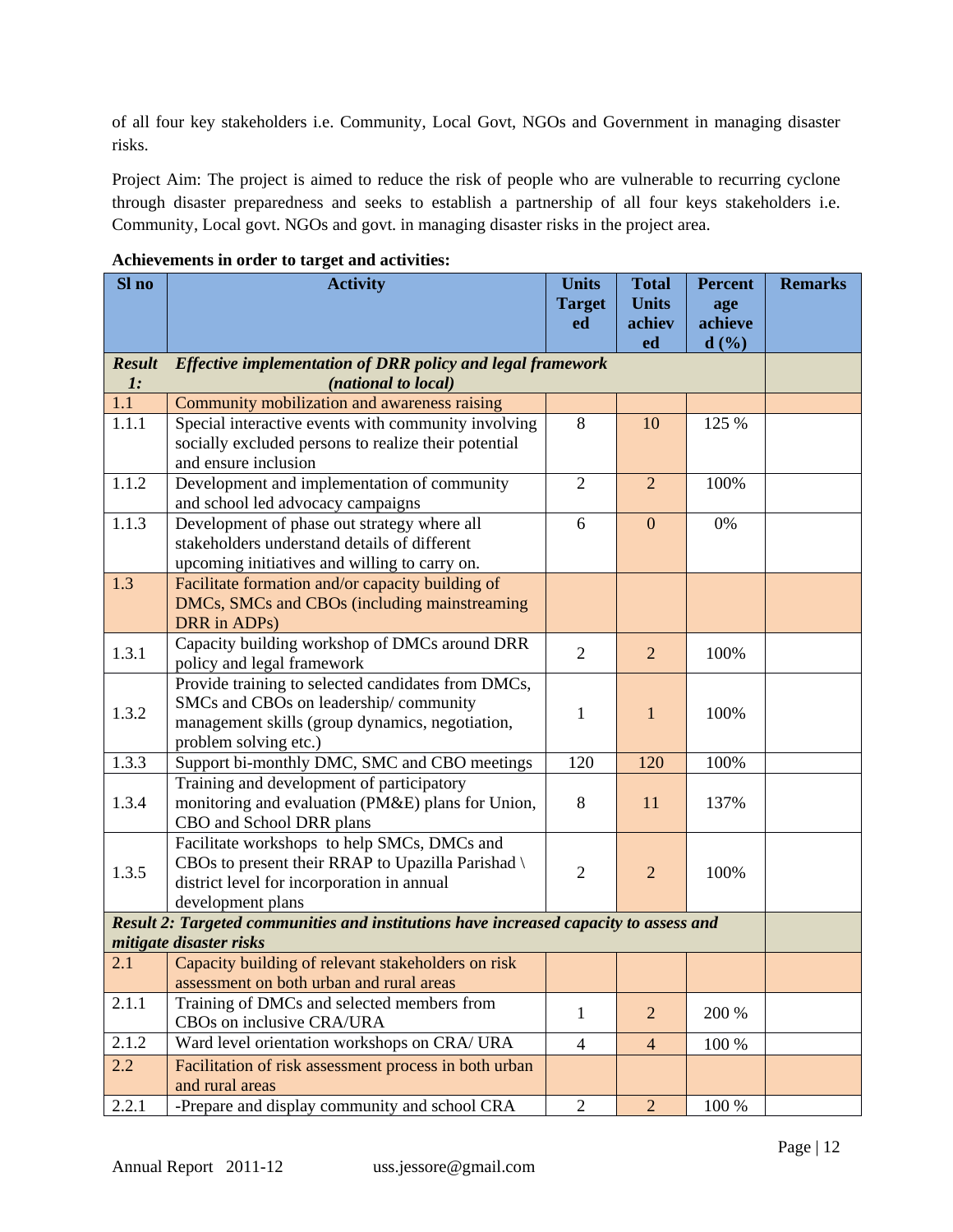of all four key stakeholders i.e. Community, Local Govt, NGOs and Government in managing disaster risks.

Project Aim: The project is aimed to reduce the risk of people who are vulnerable to recurring cyclone through disaster preparedness and seeks to establish a partnership of all four keys stakeholders i.e. Community, Local govt. NGOs and govt. in managing disaster risks in the project area.

| Sl no          | <b>Activity</b>                                                                       | <b>Units</b>   | <b>Total</b>     | <b>Percent</b> | <b>Remarks</b> |  |  |  |
|----------------|---------------------------------------------------------------------------------------|----------------|------------------|----------------|----------------|--|--|--|
|                |                                                                                       | <b>Target</b>  | <b>Units</b>     | age            |                |  |  |  |
|                |                                                                                       | ed             | achiev           | achieve        |                |  |  |  |
| <b>Result</b>  | <b>Effective implementation of DRR policy and legal framework</b>                     |                | ed               | d(%)           |                |  |  |  |
| $\mathbf{I}$ : | (national to local)                                                                   |                |                  |                |                |  |  |  |
| 1.1            | Community mobilization and awareness raising                                          |                |                  |                |                |  |  |  |
| 1.1.1          | Special interactive events with community involving                                   | 8              | 10               | 125 %          |                |  |  |  |
|                | socially excluded persons to realize their potential                                  |                |                  |                |                |  |  |  |
|                | and ensure inclusion                                                                  |                |                  |                |                |  |  |  |
| 1.1.2          | Development and implementation of community                                           | $\overline{2}$ | $\overline{2}$   | 100%           |                |  |  |  |
|                | and school led advocacy campaigns                                                     |                |                  |                |                |  |  |  |
| 1.1.3          | Development of phase out strategy where all                                           | 6              | $\boldsymbol{0}$ | 0%             |                |  |  |  |
|                | stakeholders understand details of different                                          |                |                  |                |                |  |  |  |
|                | upcoming initiatives and willing to carry on.                                         |                |                  |                |                |  |  |  |
| 1.3            | Facilitate formation and/or capacity building of                                      |                |                  |                |                |  |  |  |
|                | DMCs, SMCs and CBOs (including mainstreaming                                          |                |                  |                |                |  |  |  |
|                | DRR in ADPs)                                                                          |                |                  |                |                |  |  |  |
| 1.3.1          | Capacity building workshop of DMCs around DRR                                         | $\overline{2}$ | $\overline{2}$   | 100%           |                |  |  |  |
|                | policy and legal framework<br>Provide training to selected candidates from DMCs,      |                |                  |                |                |  |  |  |
|                | SMCs and CBOs on leadership/community                                                 |                |                  |                |                |  |  |  |
| 1.3.2          | management skills (group dynamics, negotiation,                                       | 1              | $\mathbf{1}$     | 100%           |                |  |  |  |
|                | problem solving etc.)                                                                 |                |                  |                |                |  |  |  |
| 1.3.3          | Support bi-monthly DMC, SMC and CBO meetings                                          | 120            | 120              | 100%           |                |  |  |  |
|                | Training and development of participatory                                             |                |                  |                |                |  |  |  |
| 1.3.4          | monitoring and evaluation (PM&E) plans for Union,                                     | 8              | 11               | 137%           |                |  |  |  |
|                | CBO and School DRR plans                                                              |                |                  |                |                |  |  |  |
|                | Facilitate workshops to help SMCs, DMCs and                                           |                |                  |                |                |  |  |  |
| 1.3.5          | CBOs to present their RRAP to Upazilla Parishad \                                     | $\overline{2}$ | $\overline{2}$   | 100%           |                |  |  |  |
|                | district level for incorporation in annual                                            |                |                  |                |                |  |  |  |
|                | development plans                                                                     |                |                  |                |                |  |  |  |
|                | Result 2: Targeted communities and institutions have increased capacity to assess and |                |                  |                |                |  |  |  |
|                | mitigate disaster risks                                                               |                |                  |                |                |  |  |  |
| 2.1            | Capacity building of relevant stakeholders on risk                                    |                |                  |                |                |  |  |  |
|                | assessment on both urban and rural areas                                              |                |                  |                |                |  |  |  |
| 2.1.1          | Training of DMCs and selected members from                                            | $\mathbf{1}$   | $\overline{2}$   | 200 %          |                |  |  |  |
|                | CBOs on inclusive CRA/URA                                                             |                |                  |                |                |  |  |  |
| 2.1.2          | Ward level orientation workshops on CRA/ URA                                          | $\overline{4}$ | 4                | 100 %          |                |  |  |  |
| $2.2\,$        | Facilitation of risk assessment process in both urban<br>and rural areas              |                |                  |                |                |  |  |  |
| 2.2.1          | -Prepare and display community and school CRA                                         | $\overline{2}$ | $\overline{2}$   | 100 %          |                |  |  |  |
|                |                                                                                       |                |                  |                |                |  |  |  |

**Achievements in order to target and activities:**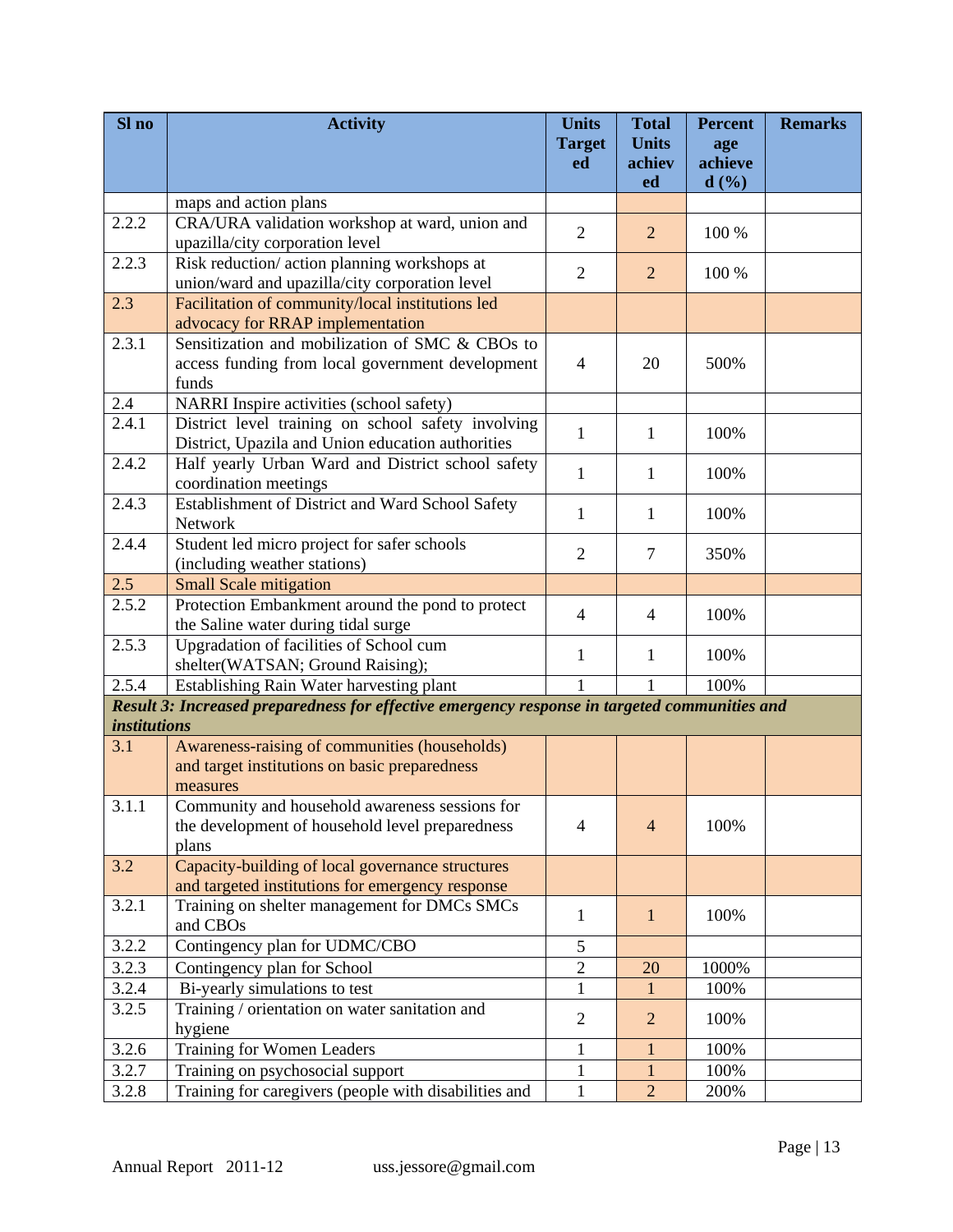| Sl no               | <b>Activity</b>                                                                                      | <b>Units</b><br><b>Target</b> | <b>Total</b><br><b>Units</b> | <b>Percent</b><br>age | <b>Remarks</b> |
|---------------------|------------------------------------------------------------------------------------------------------|-------------------------------|------------------------------|-----------------------|----------------|
|                     |                                                                                                      | ed                            | achiev<br>ed                 | achieve<br>d(%)       |                |
|                     | maps and action plans                                                                                |                               |                              |                       |                |
| 2.2.2               | CRA/URA validation workshop at ward, union and                                                       | $\overline{2}$                | $\overline{2}$               | 100 %                 |                |
|                     | upazilla/city corporation level                                                                      |                               |                              |                       |                |
| 2.2.3               | Risk reduction/ action planning workshops at<br>union/ward and upazilla/city corporation level       | $\overline{2}$                | $\overline{2}$               | 100 %                 |                |
| 2.3                 | Facilitation of community/local institutions led                                                     |                               |                              |                       |                |
|                     | advocacy for RRAP implementation                                                                     |                               |                              |                       |                |
| 2.3.1               | Sensitization and mobilization of SMC & CBOs to                                                      |                               |                              |                       |                |
|                     | access funding from local government development<br>funds                                            | $\overline{4}$                | 20                           | 500%                  |                |
| 2.4                 | NARRI Inspire activities (school safety)                                                             |                               |                              |                       |                |
| 2.4.1               | District level training on school safety involving                                                   |                               |                              |                       |                |
|                     | District, Upazila and Union education authorities                                                    | $\mathbf{1}$                  | $\mathbf{1}$                 | 100%                  |                |
| 2.4.2               | Half yearly Urban Ward and District school safety<br>coordination meetings                           | 1                             | 1                            | 100%                  |                |
| 2.4.3               | Establishment of District and Ward School Safety                                                     |                               |                              |                       |                |
|                     | Network                                                                                              | 1                             | 1                            | 100%                  |                |
| 2.4.4               | Student led micro project for safer schools<br>(including weather stations)                          | $\overline{2}$                | $\tau$                       | 350%                  |                |
| $2.\overline{5}$    | <b>Small Scale mitigation</b>                                                                        |                               |                              |                       |                |
| 2.5.2               | Protection Embankment around the pond to protect                                                     |                               |                              |                       |                |
|                     | the Saline water during tidal surge                                                                  | $\overline{4}$                | 4                            | 100%                  |                |
| 2.5.3               | Upgradation of facilities of School cum                                                              |                               |                              |                       |                |
|                     | shelter(WATSAN; Ground Raising);                                                                     | 1                             | 1                            | 100%                  |                |
| 2.5.4               | Establishing Rain Water harvesting plant                                                             | $\mathbf{1}$                  | 1                            | 100%                  |                |
|                     | Result 3: Increased preparedness for effective emergency response in targeted communities and        |                               |                              |                       |                |
| <i>institutions</i> |                                                                                                      |                               |                              |                       |                |
| 3.1                 | Awareness-raising of communities (households)                                                        |                               |                              |                       |                |
|                     | and target institutions on basic preparedness                                                        |                               |                              |                       |                |
|                     | measures                                                                                             |                               |                              |                       |                |
| 3.1.1               | Community and household awareness sessions for                                                       |                               |                              |                       |                |
|                     | the development of household level preparedness                                                      | $\overline{4}$                | $\overline{4}$               | 100%                  |                |
|                     | plans                                                                                                |                               |                              |                       |                |
| 3.2                 | Capacity-building of local governance structures<br>and targeted institutions for emergency response |                               |                              |                       |                |
| 3.2.1               | Training on shelter management for DMCs SMCs                                                         |                               |                              |                       |                |
|                     | and CBOs                                                                                             | 1                             | $\mathbf{1}$                 | 100%                  |                |
| 3.2.2               | Contingency plan for UDMC/CBO                                                                        | 5                             |                              |                       |                |
| 3.2.3               | Contingency plan for School                                                                          | $\overline{c}$                | 20                           | 1000%                 |                |
| 3.2.4               | Bi-yearly simulations to test                                                                        | 1                             | 1                            | 100%                  |                |
| 3.2.5               | Training / orientation on water sanitation and                                                       | $\overline{2}$                | $\overline{2}$               | 100%                  |                |
|                     | hygiene                                                                                              |                               |                              |                       |                |
| 3.2.6               | Training for Women Leaders                                                                           | 1                             | 1                            | 100%                  |                |
| 3.2.7               | Training on psychosocial support                                                                     | 1                             |                              | 100%                  |                |
| 3.2.8               | Training for caregivers (people with disabilities and                                                | $\mathbf{1}$                  | $\overline{2}$               | 200%                  |                |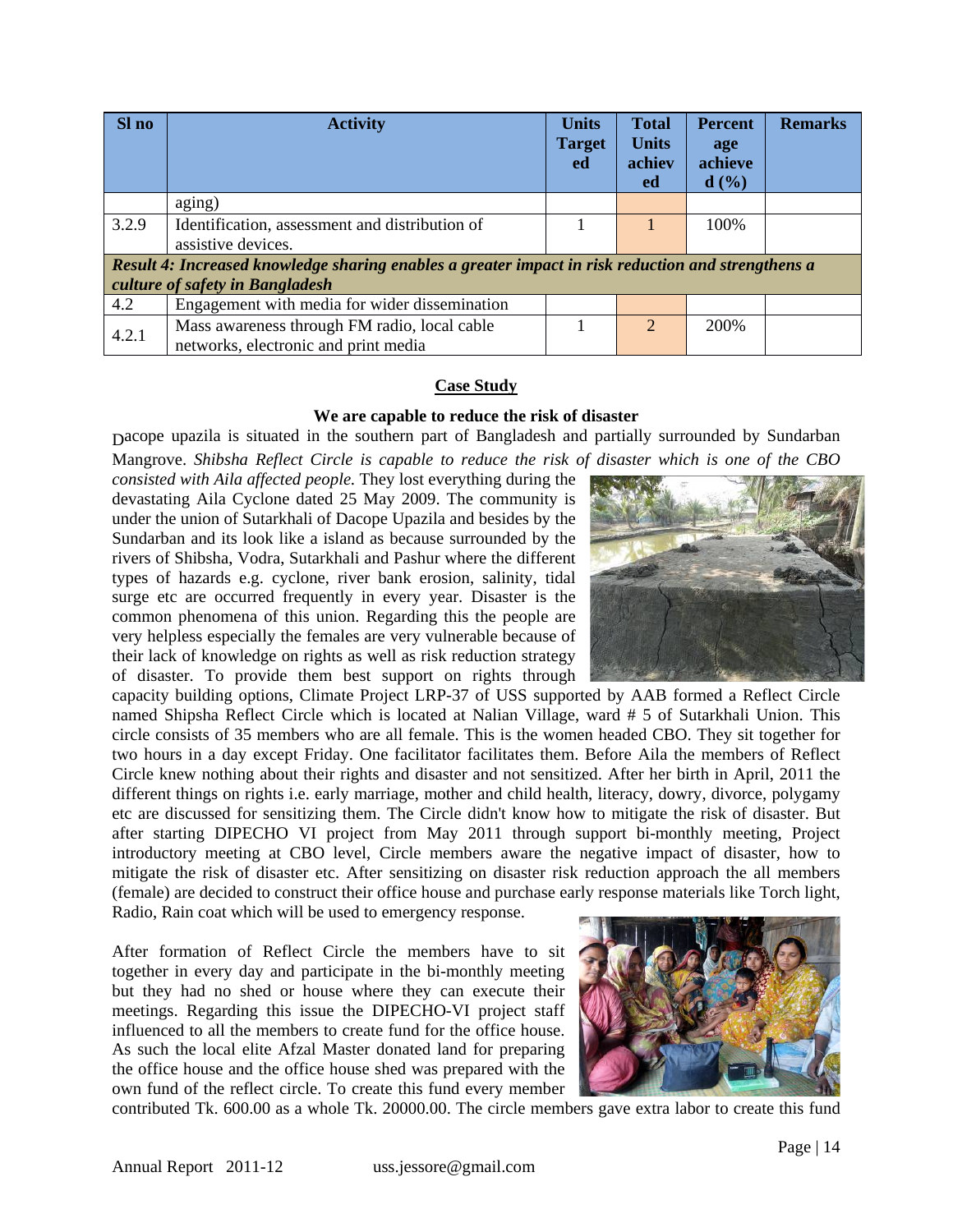| Sl no | <b>Activity</b><br><b>Target</b>                                                                                                      |  | <b>Total</b><br><b>Units</b><br>achiev<br>ed | <b>Percent</b><br>age<br>achieve<br>d(%) | <b>Remarks</b> |
|-------|---------------------------------------------------------------------------------------------------------------------------------------|--|----------------------------------------------|------------------------------------------|----------------|
|       | aging)                                                                                                                                |  |                                              |                                          |                |
| 3.2.9 | Identification, assessment and distribution of<br>assistive devices.                                                                  |  |                                              | 100%                                     |                |
|       | Result 4: Increased knowledge sharing enables a greater impact in risk reduction and strengthens a<br>culture of safety in Bangladesh |  |                                              |                                          |                |
| 4.2   | Engagement with media for wider dissemination                                                                                         |  |                                              |                                          |                |
| 4.2.1 | Mass awareness through FM radio, local cable<br>networks, electronic and print media                                                  |  | $\overline{2}$                               | 200%                                     |                |
|       |                                                                                                                                       |  |                                              |                                          |                |

#### **Case Study**

#### **We are capable to reduce the risk of disaster**

Dacope upazila is situated in the southern part of Bangladesh and partially surrounded by Sundarban Mangrove. *Shibsha Reflect Circle is capable to reduce the risk of disaster which is one of the CBO* 

*consisted with Aila affected people.* They lost everything during the devastating Aila Cyclone dated 25 May 2009. The community is under the union of Sutarkhali of Dacope Upazila and besides by the Sundarban and its look like a island as because surrounded by the rivers of Shibsha, Vodra, Sutarkhali and Pashur where the different types of hazards e.g. cyclone, river bank erosion, salinity, tidal surge etc are occurred frequently in every year. Disaster is the common phenomena of this union. Regarding this the people are very helpless especially the females are very vulnerable because of their lack of knowledge on rights as well as risk reduction strategy of disaster. To provide them best support on rights through

capacity building options, Climate Project LRP-37 of USS supported by AAB formed a Reflect Circle named Shipsha Reflect Circle which is located at Nalian Village, ward # 5 of Sutarkhali Union. This circle consists of 35 members who are all female. This is the women headed CBO. They sit together for two hours in a day except Friday. One facilitator facilitates them. Before Aila the members of Reflect Circle knew nothing about their rights and disaster and not sensitized. After her birth in April, 2011 the different things on rights i.e. early marriage, mother and child health, literacy, dowry, divorce, polygamy etc are discussed for sensitizing them. The Circle didn't know how to mitigate the risk of disaster. But after starting DIPECHO VI project from May 2011 through support bi-monthly meeting, Project introductory meeting at CBO level, Circle members aware the negative impact of disaster, how to mitigate the risk of disaster etc. After sensitizing on disaster risk reduction approach the all members (female) are decided to construct their office house and purchase early response materials like Torch light, Radio, Rain coat which will be used to emergency response.

After formation of Reflect Circle the members have to sit together in every day and participate in the bi-monthly meeting but they had no shed or house where they can execute their meetings. Regarding this issue the DIPECHO-VI project staff influenced to all the members to create fund for the office house. As such the local elite Afzal Master donated land for preparing the office house and the office house shed was prepared with the own fund of the reflect circle. To create this fund every member



contributed Tk. 600.00 as a whole Tk. 20000.00. The circle members gave extra labor to create this fund

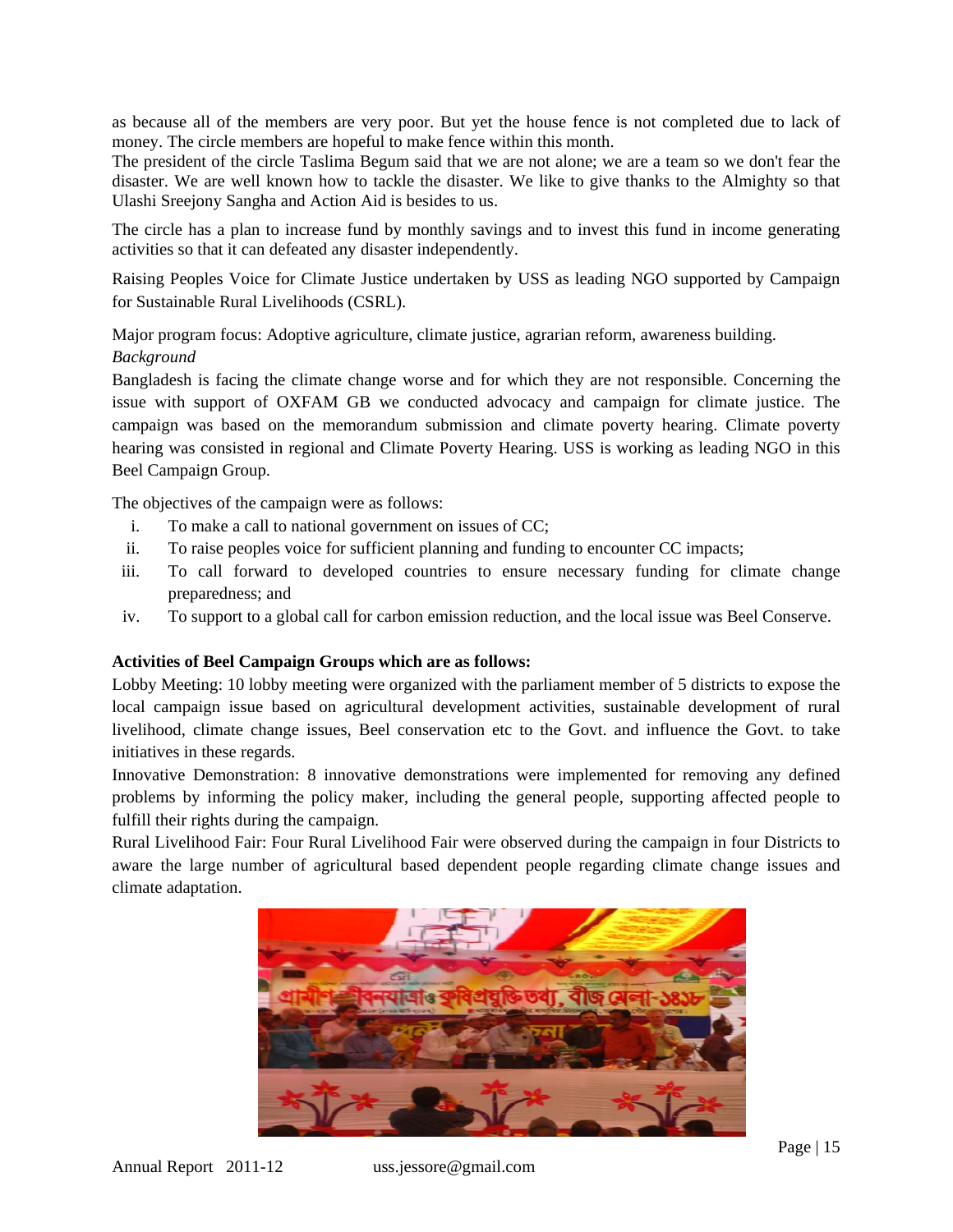as because all of the members are very poor. But yet the house fence is not completed due to lack of money. The circle members are hopeful to make fence within this month.

The president of the circle Taslima Begum said that we are not alone; we are a team so we don't fear the disaster. We are well known how to tackle the disaster. We like to give thanks to the Almighty so that Ulashi Sreejony Sangha and Action Aid is besides to us.

The circle has a plan to increase fund by monthly savings and to invest this fund in income generating activities so that it can defeated any disaster independently.

Raising Peoples Voice for Climate Justice undertaken by USS as leading NGO supported by Campaign for Sustainable Rural Livelihoods (CSRL).

Major program focus: Adoptive agriculture, climate justice, agrarian reform, awareness building. *Background*

Bangladesh is facing the climate change worse and for which they are not responsible. Concerning the issue with support of OXFAM GB we conducted advocacy and campaign for climate justice. The campaign was based on the memorandum submission and climate poverty hearing. Climate poverty hearing was consisted in regional and Climate Poverty Hearing. USS is working as leading NGO in this Beel Campaign Group.

The objectives of the campaign were as follows:

- i. To make a call to national government on issues of CC;
- ii. To raise peoples voice for sufficient planning and funding to encounter CC impacts;
- iii. To call forward to developed countries to ensure necessary funding for climate change preparedness; and
- iv. To support to a global call for carbon emission reduction, and the local issue was Beel Conserve.

#### **Activities of Beel Campaign Groups which are as follows:**

Lobby Meeting: 10 lobby meeting were organized with the parliament member of 5 districts to expose the local campaign issue based on agricultural development activities, sustainable development of rural livelihood, climate change issues, Beel conservation etc to the Govt. and influence the Govt. to take initiatives in these regards.

Innovative Demonstration: 8 innovative demonstrations were implemented for removing any defined problems by informing the policy maker, including the general people, supporting affected people to fulfill their rights during the campaign.

Rural Livelihood Fair: Four Rural Livelihood Fair were observed during the campaign in four Districts to aware the large number of agricultural based dependent people regarding climate change issues and climate adaptation.

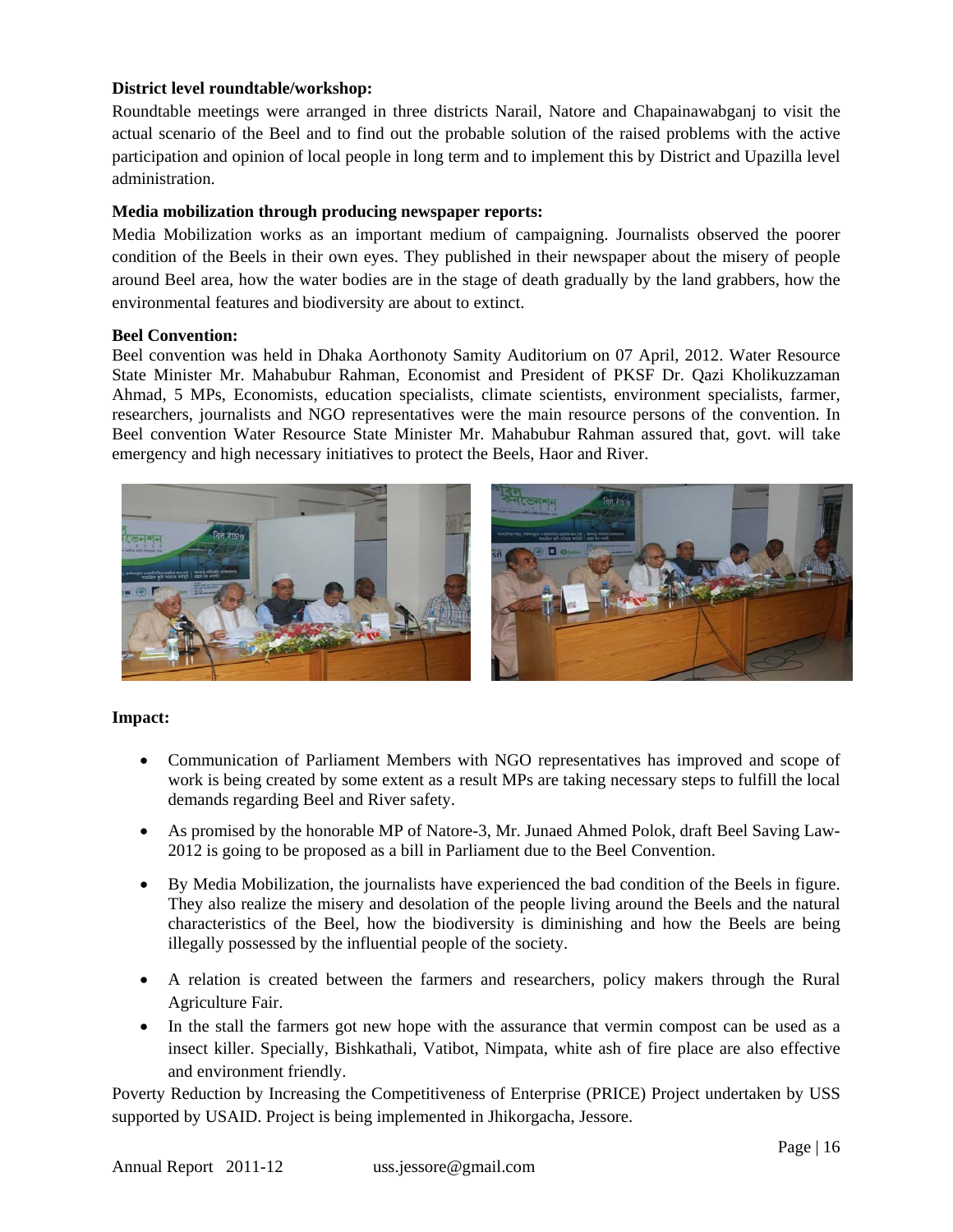## **District level roundtable/workshop:**

Roundtable meetings were arranged in three districts Narail, Natore and Chapainawabganj to visit the actual scenario of the Beel and to find out the probable solution of the raised problems with the active participation and opinion of local people in long term and to implement this by District and Upazilla level administration.

## **Media mobilization through producing newspaper reports:**

Media Mobilization works as an important medium of campaigning. Journalists observed the poorer condition of the Beels in their own eyes. They published in their newspaper about the misery of people around Beel area, how the water bodies are in the stage of death gradually by the land grabbers, how the environmental features and biodiversity are about to extinct.

#### **Beel Convention:**

Beel convention was held in Dhaka Aorthonoty Samity Auditorium on 07 April, 2012. Water Resource State Minister Mr. Mahabubur Rahman, Economist and President of PKSF Dr. Qazi Kholikuzzaman Ahmad, 5 MPs, Economists, education specialists, climate scientists, environment specialists, farmer, researchers, journalists and NGO representatives were the main resource persons of the convention. In Beel convention Water Resource State Minister Mr. Mahabubur Rahman assured that, govt. will take emergency and high necessary initiatives to protect the Beels, Haor and River.



#### **Impact:**

- Communication of Parliament Members with NGO representatives has improved and scope of work is being created by some extent as a result MPs are taking necessary steps to fulfill the local demands regarding Beel and River safety.
- As promised by the honorable MP of Natore-3, Mr. Junaed Ahmed Polok, draft Beel Saving Law-2012 is going to be proposed as a bill in Parliament due to the Beel Convention.
- By Media Mobilization, the journalists have experienced the bad condition of the Beels in figure. They also realize the misery and desolation of the people living around the Beels and the natural characteristics of the Beel, how the biodiversity is diminishing and how the Beels are being illegally possessed by the influential people of the society.
- A relation is created between the farmers and researchers, policy makers through the Rural Agriculture Fair.
- In the stall the farmers got new hope with the assurance that vermin compost can be used as a insect killer. Specially, Bishkathali, Vatibot, Nimpata, white ash of fire place are also effective and environment friendly.

Poverty Reduction by Increasing the Competitiveness of Enterprise (PRICE) Project undertaken by USS supported by USAID. Project is being implemented in Jhikorgacha, Jessore.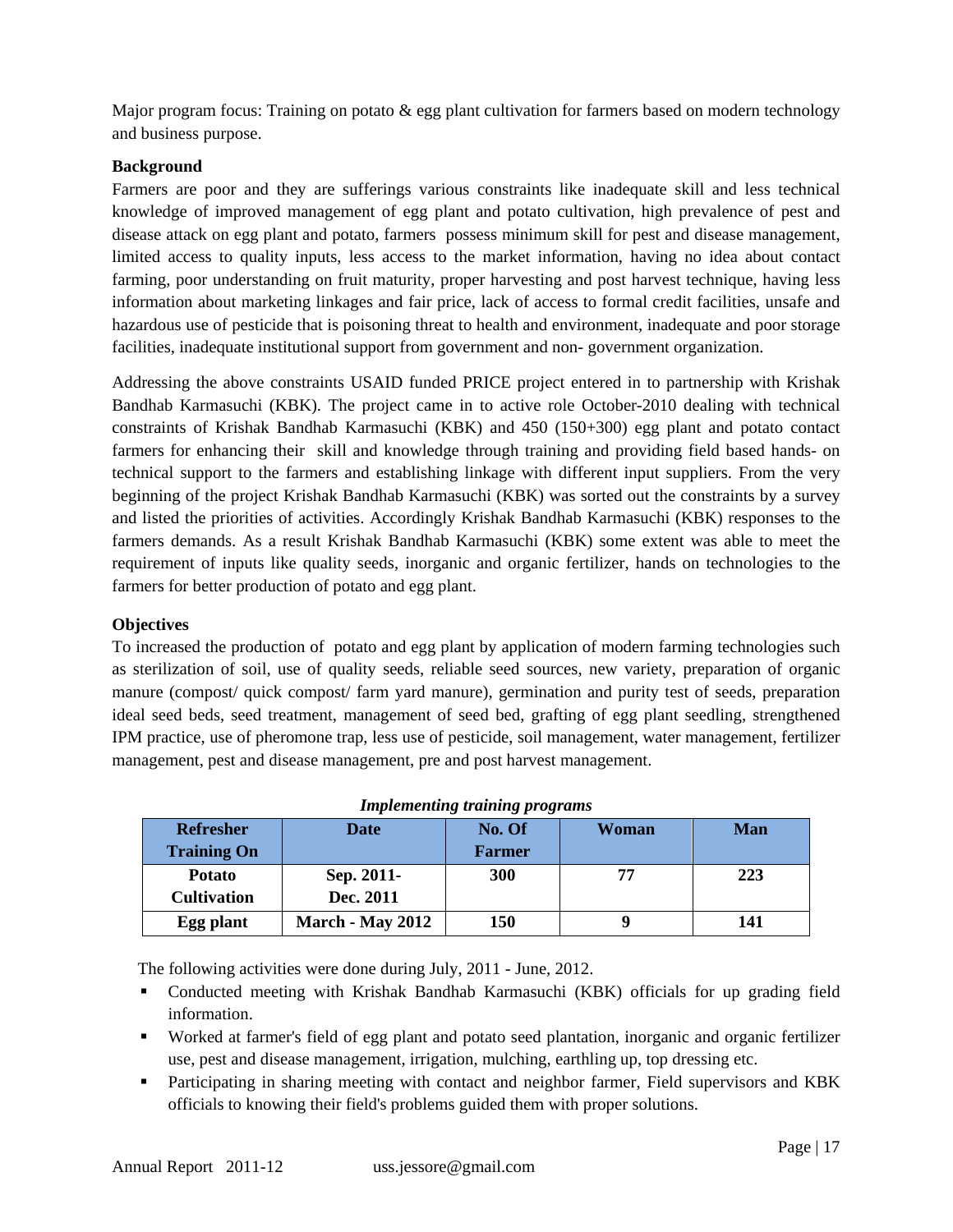Major program focus: Training on potato & egg plant cultivation for farmers based on modern technology and business purpose.

# **Background**

Farmers are poor and they are sufferings various constraints like inadequate skill and less technical knowledge of improved management of egg plant and potato cultivation, high prevalence of pest and disease attack on egg plant and potato, farmers possess minimum skill for pest and disease management, limited access to quality inputs, less access to the market information, having no idea about contact farming, poor understanding on fruit maturity, proper harvesting and post harvest technique, having less information about marketing linkages and fair price, lack of access to formal credit facilities, unsafe and hazardous use of pesticide that is poisoning threat to health and environment, inadequate and poor storage facilities, inadequate institutional support from government and non- government organization.

Addressing the above constraints USAID funded PRICE project entered in to partnership with Krishak Bandhab Karmasuchi (KBK). The project came in to active role October-2010 dealing with technical constraints of Krishak Bandhab Karmasuchi (KBK) and 450 (150+300) egg plant and potato contact farmers for enhancing their skill and knowledge through training and providing field based hands- on technical support to the farmers and establishing linkage with different input suppliers. From the very beginning of the project Krishak Bandhab Karmasuchi (KBK) was sorted out the constraints by a survey and listed the priorities of activities. Accordingly Krishak Bandhab Karmasuchi (KBK) responses to the farmers demands. As a result Krishak Bandhab Karmasuchi (KBK) some extent was able to meet the requirement of inputs like quality seeds, inorganic and organic fertilizer, hands on technologies to the farmers for better production of potato and egg plant.

## **Objectives**

To increased the production of potato and egg plant by application of modern farming technologies such as sterilization of soil, use of quality seeds, reliable seed sources, new variety, preparation of organic manure (compost/ quick compost/ farm yard manure), germination and purity test of seeds, preparation ideal seed beds, seed treatment, management of seed bed, grafting of egg plant seedling, strengthened IPM practice, use of pheromone trap, less use of pesticide, soil management, water management, fertilizer management, pest and disease management, pre and post harvest management.

| <b>Refresher</b><br><b>Training On</b> | <b>Date</b>             | No. Of<br><b>Farmer</b> | Woman | Man |
|----------------------------------------|-------------------------|-------------------------|-------|-----|
| <b>Potato</b>                          | Sep. 2011-              | 300                     | 77    | 223 |
| <b>Cultivation</b>                     | Dec. 2011               |                         |       |     |
| Egg plant                              | <b>March - May 2012</b> | 150                     | Q     | 141 |

The following activities were done during July, 2011 - June, 2012.

- Conducted meeting with Krishak Bandhab Karmasuchi (KBK) officials for up grading field information.
- Worked at farmer's field of egg plant and potato seed plantation, inorganic and organic fertilizer use, pest and disease management, irrigation, mulching, earthling up, top dressing etc.
- Participating in sharing meeting with contact and neighbor farmer, Field supervisors and KBK officials to knowing their field's problems guided them with proper solutions.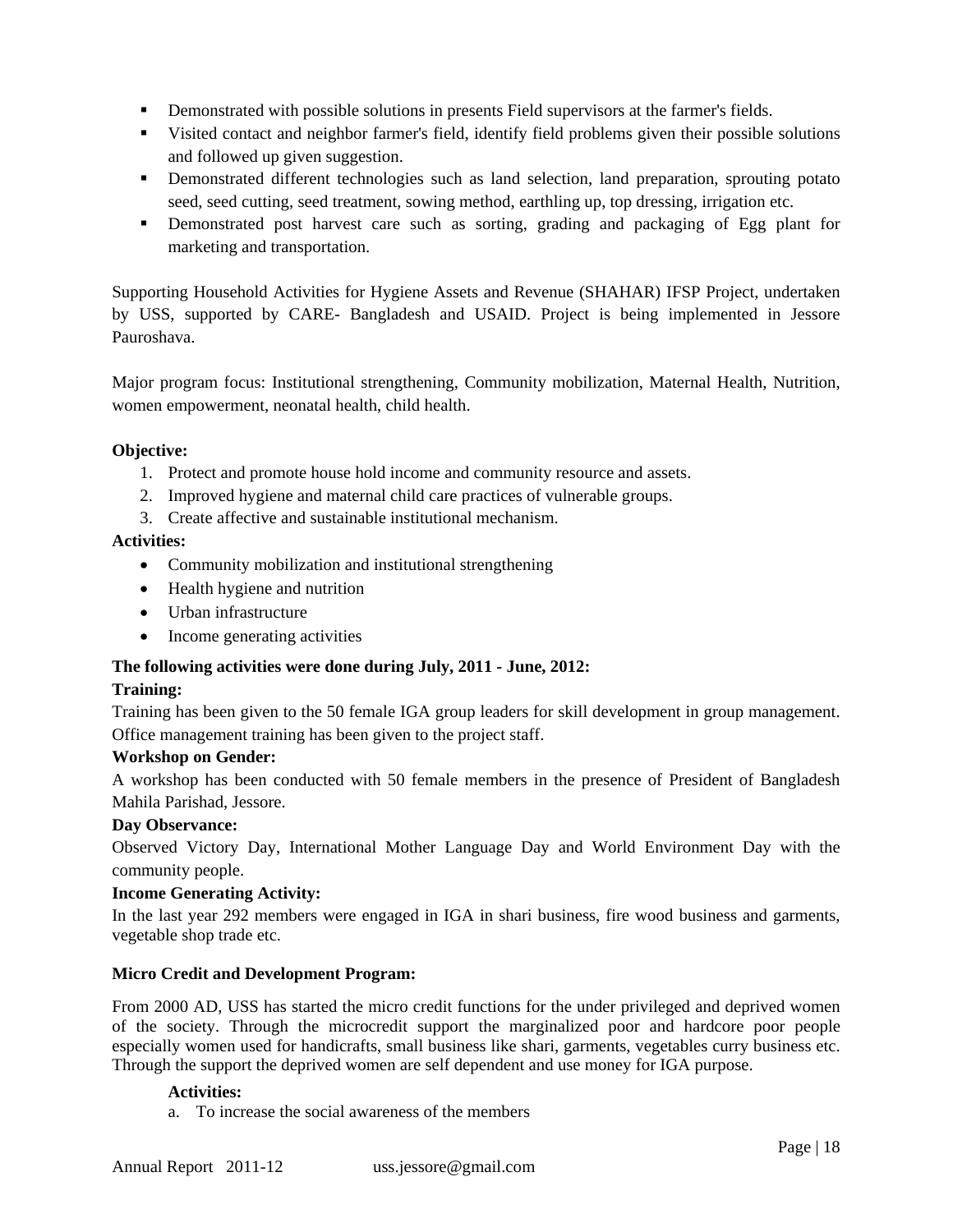- **•** Demonstrated with possible solutions in presents Field supervisors at the farmer's fields.
- Visited contact and neighbor farmer's field, identify field problems given their possible solutions and followed up given suggestion.
- **•** Demonstrated different technologies such as land selection, land preparation, sprouting potato seed, seed cutting, seed treatment, sowing method, earthling up, top dressing, irrigation etc.
- Demonstrated post harvest care such as sorting, grading and packaging of Egg plant for marketing and transportation.

Supporting Household Activities for Hygiene Assets and Revenue (SHAHAR) IFSP Project, undertaken by USS, supported by CARE- Bangladesh and USAID. Project is being implemented in Jessore Pauroshava.

Major program focus: Institutional strengthening, Community mobilization, Maternal Health, Nutrition, women empowerment, neonatal health, child health.

## **Objective:**

- 1. Protect and promote house hold income and community resource and assets.
- 2. Improved hygiene and maternal child care practices of vulnerable groups.
- 3. Create affective and sustainable institutional mechanism.

## **Activities:**

- Community mobilization and institutional strengthening
- Health hygiene and nutrition
- Urban infrastructure
- Income generating activities

## **The following activities were done during July, 2011 - June, 2012:**

## **Training:**

Training has been given to the 50 female IGA group leaders for skill development in group management. Office management training has been given to the project staff.

## **Workshop on Gender:**

A workshop has been conducted with 50 female members in the presence of President of Bangladesh Mahila Parishad, Jessore.

## **Day Observance:**

Observed Victory Day, International Mother Language Day and World Environment Day with the community people.

## **Income Generating Activity:**

In the last year 292 members were engaged in IGA in shari business, fire wood business and garments, vegetable shop trade etc.

## **Micro Credit and Development Program:**

From 2000 AD, USS has started the micro credit functions for the under privileged and deprived women of the society. Through the microcredit support the marginalized poor and hardcore poor people especially women used for handicrafts, small business like shari, garments, vegetables curry business etc. Through the support the deprived women are self dependent and use money for IGA purpose.

## **Activities:**

a. To increase the social awareness of the members